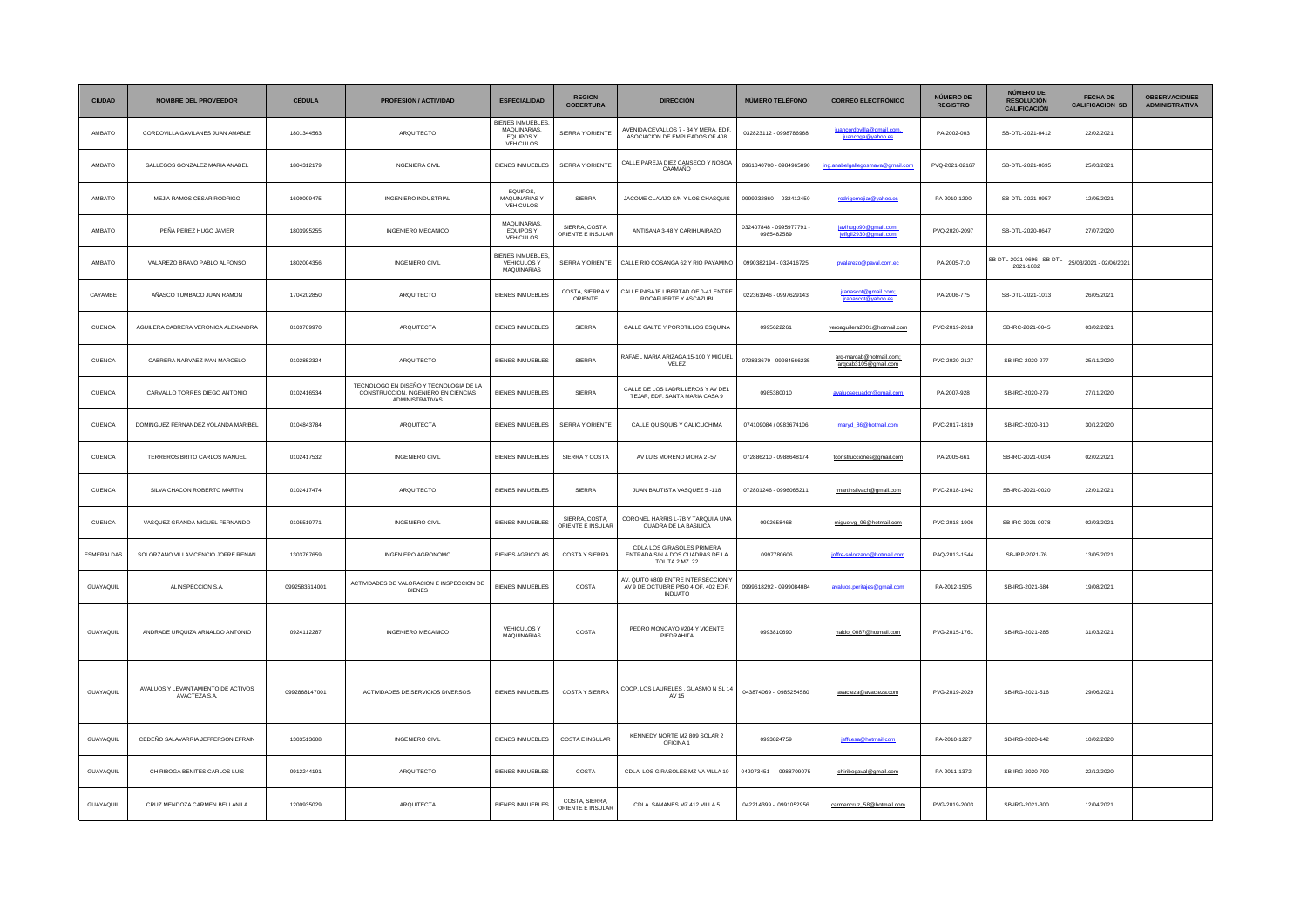| <b>CIUDAD</b>    | <b>NOMBRE DEL PROVEEDOR</b>                         | <b>CÉDULA</b> | <b>PROFESIÓN / ACTIVIDAD</b>                                                                            | <b>ESPECIALIDAD</b>                                        | <b>REGION</b><br><b>COBERTURA</b>  | <b>DIRECCIÓN</b>                                                                             | <b>NÚMERO TELÉFONO</b>               | <b>CORREO ELECTRÓNICO</b>                       | NÚMERO DE<br><b>REGISTRO</b> | NÚMERO DE<br><b>RESOLUCIÓN</b><br><b>CALIFICACIÓN</b> | <b>FECHA DE</b><br><b>CALIFICACION SB</b> | <b>OBSERVACIONES</b><br><b>ADMINISTRATIVA</b> |
|------------------|-----------------------------------------------------|---------------|---------------------------------------------------------------------------------------------------------|------------------------------------------------------------|------------------------------------|----------------------------------------------------------------------------------------------|--------------------------------------|-------------------------------------------------|------------------------------|-------------------------------------------------------|-------------------------------------------|-----------------------------------------------|
| AMBATO           | CORDOVILLA GAVILANES JUAN AMABLE                    | 1801344563    | ARQUITECTO                                                                                              | BIENES INMUEBLES<br>MAQUINARIAS,<br>EQUIPOS Y<br>VEHICULOS | SIERRA Y ORIENTE                   | AVENIDA CEVALLOS 7 - 34 Y MERA, EDF.<br>ASOCIACION DE EMPLEADOS OF 408                       | 032823112 - 0998786968               | juancordovilla@gmail.com,<br>juancoga@yahoo.es  | PA-2002-003                  | SB-DTL-2021-0412                                      | 22/02/2021                                |                                               |
| AMBATO           | GALLEGOS GONZALEZ MARIA ANABEL                      | 1804312179    | <b>INGENIERA CIVIL</b>                                                                                  | BIENES INMUEBLES                                           | SIERRA Y ORIENTE                   | CALLE PAREJA DIEZ CANSECO Y NOBOA<br>CAAMAÑO                                                 | 0961840700 - 0984965090              | ing.anabelgallegosmava@gmail.com                | PVQ-2021-02167               | SB-DTL-2021-0695                                      | 25/03/2021                                |                                               |
| AMBATO           | MEJIA RAMOS CESAR RODRIGO                           | 1600099475    | INGENIERO INDUSTRIAL                                                                                    | EQUIPOS,<br>MAQUINARIAS Y<br><b>VEHICULOS</b>              | SIERRA                             | JACOME CLAVIJO S/N Y LOS CHASQUIS                                                            | 0999232860 - 032412450               | rodrigomejiar@yahoo.es                          | PA-2010-1200                 | SB-DTL-2021-0957                                      | 12/05/2021                                |                                               |
| AMBATO           | PEÑA PEREZ HUGO JAVIER                              | 1803995255    | INGENIERO MECANICO                                                                                      | MAQUINARIAS,<br>EQUIPOS Y<br>VEHICULOS                     | SIERRA, COSTA<br>ORIENTE E INSULAR | ANTISANA 3-48 Y CARIHUAIRAZO                                                                 | 032407848 - 0995977791<br>0985482589 | javihugo90@gmail.com;<br>ieffail2930@amail.com  | PVQ-2020-2097                | SB-DTL-2020-0647                                      | 27/07/2020                                |                                               |
| AMBATO           | VALAREZO BRAVO PABLO ALFONSO                        | 1802004356    | <b>INGENIERO CIVIL</b>                                                                                  | BIENES INMUEBLES.<br>VEHICULOS Y<br>MAQUINARIAS            | SIERRA Y ORIENTE                   | CALLE RIO COSANGA 62 Y RIO PAYAMINO                                                          | 0990382194 - 032416725               | pvalarezo@paval.com.ec                          | PA-2005-710                  | SB-DTL-2021-0696 - SB-DTL<br>2021-1082                | 25/03/2021 - 02/06/2021                   |                                               |
| CAYAMBE          | AÑASCO TUMBACO JUAN RAMON                           | 1704202850    | ARQUITECTO                                                                                              | <b>BIENES INMUEBLES</b>                                    | COSTA, SIERRA Y<br>ORIENTE         | CALLE PASAJE LIBERTAD OE 0-41 ENTRE<br>ROCAFUERTE Y ASCAZUBI                                 | 022361946 - 0997629143               | jranascot@gmail.com;<br>jranascot@yahoo.es      | PA-2006-775                  | SB-DTL-2021-1013                                      | 26/05/2021                                |                                               |
| CUENCA           | AGUILERA CABRERA VERONICA ALEXANDRA                 | 0103789970    | ARQUITECTA                                                                                              | BIENES INMUEBLES                                           | SIERRA                             | CALLE GALTE Y POROTILLOS ESQUINA                                                             | 0995622261                           | veroaguilera2001@hotmail.com                    | PVC-2019-2018                | SB-IRC-2021-0045                                      | 03/02/2021                                |                                               |
| CUENCA           | CABRERA NARVAEZ IVAN MARCELO                        | 0102852324    | ARQUITECTO                                                                                              | <b>BIENES INMUEBLES</b>                                    | SIERRA                             | RAFAEL MARIA ARIZAGA 15-100 Y MIGUEL<br>VELEZ                                                | 072833679 - 09984566235              | arg-marcab@hotmail.com;<br>arqcab3105@gmail.com | PVC-2020-2127                | SB-IRC-2020-277                                       | 25/11/2020                                |                                               |
| CUENCA           | CARVALLO TORRES DIEGO ANTONIO                       | 0102416534    | TECNOLOGO EN DISEÑO Y TECNOLOGIA DE LA<br>CONSTRUCCION. INGENIERO EN CIENCIAS<br><b>ADMINISTRATIVAS</b> | <b>BIENES INMUERLES</b>                                    | SIERRA                             | CALLE DE LOS LADRILLEROS Y AV DEL<br>TEJAR, EDF. SANTA MARIA CASA 9                          | 0985380010                           | avaluosecuador@gmail.com                        | PA-2007-928                  | SB-IRC-2020-279                                       | 27/11/2020                                |                                               |
| CUENCA           | DOMINGUEZ FERNANDEZ YOLANDA MARIBEL                 | 0104843784    | ARQUITECTA                                                                                              | BIENES INMUEBLES                                           | SIERRA Y ORIENTE                   | CALLE QUISQUIS Y CALICUCHIMA                                                                 | 074109084 / 0983674106               | marvd 86@hotmail.com                            | PVC-2017-1819                | SB-IRC-2020-310                                       | 30/12/2020                                |                                               |
| CUENCA           | TERREROS BRITO CARLOS MANUEL                        | 0102417532    | <b>INGENIERO CIVIL</b>                                                                                  | <b>BIENES INMUEBLES</b>                                    | SIERRA Y COSTA                     | AV LUIS MORENO MORA 2 -57                                                                    | 072886210 - 0988648174               | tconstrucciones@gmail.com                       | PA-2005-661                  | SB-IRC-2021-0034                                      | 02/02/2021                                |                                               |
| CUENCA           | SILVA CHACON ROBERTO MARTIN                         | 0102417474    | ARQUITECTO                                                                                              | <b>BIENES INMUEBLES</b>                                    | SIERRA                             | JUAN BAUTISTA VASQUEZ 5 -118                                                                 | 072801246 - 0996065211               | rmartinsilvach@gmail.com                        | PVC-2018-1942                | SB-IRC-2021-0020                                      | 22/01/2021                                |                                               |
| CUENCA           | VASQUEZ GRANDA MIGUEL FERNANDO                      | 0105519771    | INGENIERO CIVIL                                                                                         | BIENES INMUEBLES                                           | SIERRA, COSTA<br>ORIENTE E INSULAR | CORONEL HARRIS L-7B Y TARQUI A UNA<br>CUADRA DE LA BASILICA                                  | 0992658468                           | miguelvg_96@hotmail.com                         | PVC-2018-1906                | SB-IRC-2021-0078                                      | 02/03/2021                                |                                               |
| ESMERALDAS       | SOLORZANO VILLAVICENCIO JOFRE RENAN                 | 1303767659    | INGENIERO AGRONOMO                                                                                      | <b>BIENES AGRICOLAS</b>                                    | COSTAY SIERRA                      | CDLA LOS GIRASOLES PRIMERA<br>ENTRADA S/N A DOS CUADRAS DE LA<br>TOLITA 2 MZ. 22             | 0997780606                           | joffre-solorzano@hotmail.com                    | PAQ-2013-1544                | SB-IRP-2021-76                                        | 13/05/2021                                |                                               |
| GUAYAQUIL        | ALINSPECCION S.A.                                   | 0992583614001 | ACTIVIDADES DE VALORACION E INSPECCION DE<br><b>BIENES</b>                                              | <b>BIENES INMUEBLES</b>                                    | COSTA                              | AV. QUITO #809 ENTRE INTERSECCION Y<br>AV 9 DE OCTUBRE PISO 4 OF. 402 EDF.<br><b>INDUATO</b> | 0999618292 - 0999084084              | avaluos.peritajes@gmail.com                     | PA-2012-1505                 | SB-IRG-2021-684                                       | 19/08/2021                                |                                               |
| GUAYAOUL         | ANDRADE URQUIZA ARNALDO ANTONIO                     | 0924112287    | INGENIERO MECANICO                                                                                      | <b>VEHICULOS Y</b><br>MAQUINARIAS                          | COSTA                              | PEDRO MONCAYO #204 Y VICENTE<br>PIEDRAHITA                                                   | 0993810690                           | naldo 0087@hotmail.com                          | PVG-2015-1761                | SB-IRG-2021-285                                       | 31/03/2021                                |                                               |
| <b>GUAYAQUIL</b> | AVALUOS Y LEVANTAMIENTO DE ACTIVOS<br>AVACTEZA S.A. | 0992868147001 | ACTIVIDADES DE SERVICIOS DIVERSOS.                                                                      | <b>BIENES INMUEBLES</b>                                    | COSTA Y SIERRA                     | COOP. LOS LAURELES, GUASMO N SL 14<br>AV 15                                                  | 043874069 - 0985254580               | avacteza@avacteza.com                           | PVG-2019-2029                | SB-IRG-2021-516                                       | 29/06/2021                                |                                               |
| GUAYAQUIL        | CEDEÑO SALAVARRIA JEFFERSON EFRAIN                  | 1303513608    | <b>INGENIERO CIVIL</b>                                                                                  | BIENES INMUEBLES                                           | COSTA E INSULAR                    | KENNEDY NORTE MZ 809 SOLAR 2<br>OFICINA 1                                                    | 0993824759                           | jeffcesa@hotmail.com                            | PA-2010-1227                 | SB-IRG-2020-142                                       | 10/02/2020                                |                                               |
| GUAYAQUIL        | CHIRIBOGA BENITES CARLOS LUIS                       | 0912244191    | ARQUITECTO                                                                                              | BIENES INMUEBLES                                           | COSTA                              | CDLA. LOS GIRASOLES MZ VA VILLA 19                                                           | 042073451 - 0988709075               | chiribogaval@gmail.com                          | PA-2011-1372                 | SB-IRG-2020-790                                       | 22/12/2020                                |                                               |
| GUAYAQUIL        | CRUZ MENDOZA CARMEN BELLANILA                       | 1200935029    | ARQUITECTA                                                                                              | BIENES INMUEBLES                                           | COSTA SIERRA<br>ORIENTE E INSULAR  | CDLA. SAMANES MZ 412 VILLA 5                                                                 | 042214399 - 0991052956               | carmencruz_58@hotmail.com                       | PVG-2019-2003                | SB-IRG-2021-300                                       | 12/04/2021                                |                                               |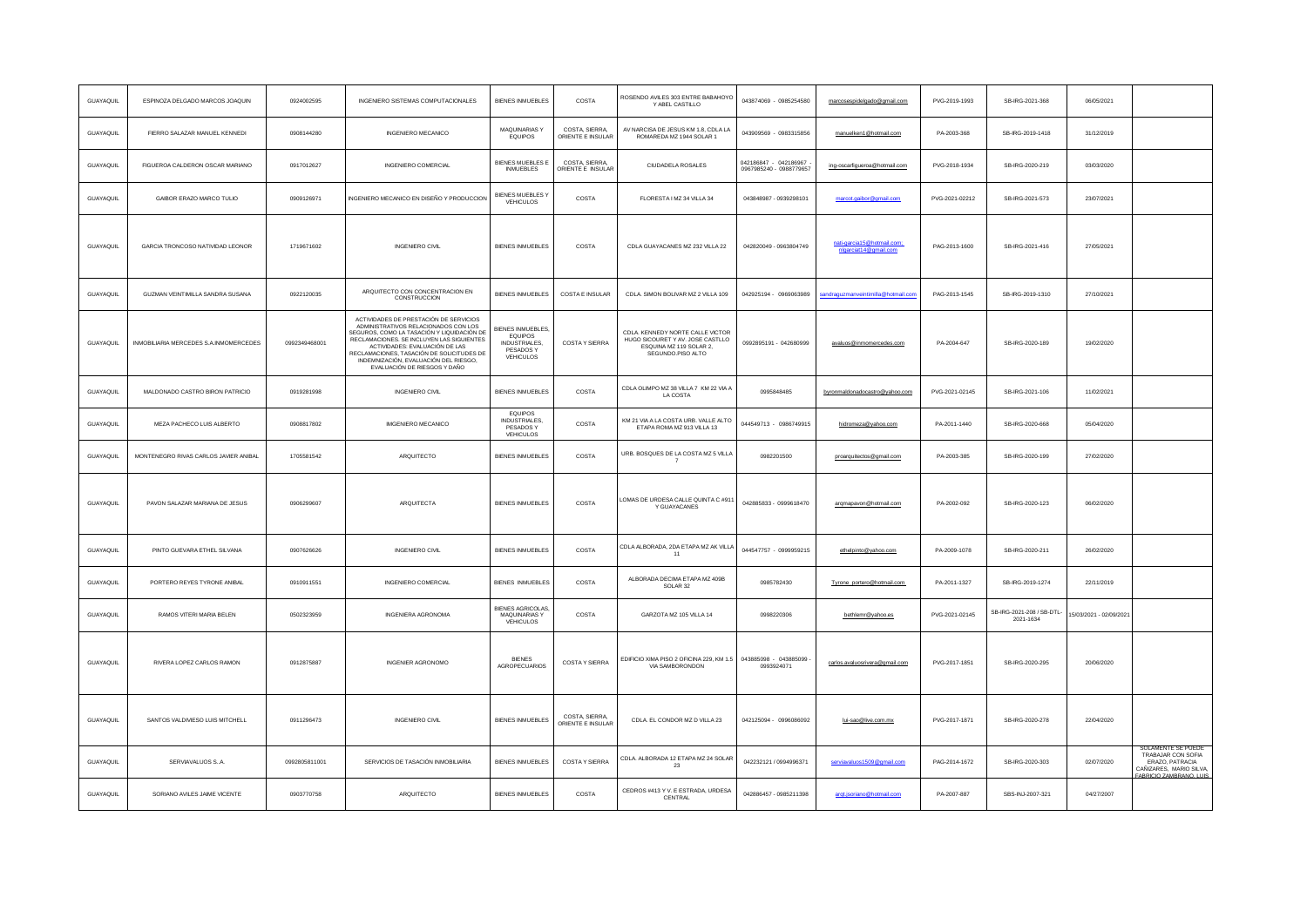| GUAYAQUIL        | ESPINOZA DELGADO MARCOS JOAQUIN        | 0924002595    | INGENIERO SISTEMAS COMPUTACIONALES                                                                                                                                                                                                                                                                                                | <b>BIENES INMUEBLES</b>                                                       | COSTA                               | ROSENDO AVILES 303 ENTRE BABAHOYO<br>Y ABEL CASTILLO                                                                  | 043874069 - 0985254580                           | marcosespidelgado@gmail.com               | PVG-2019-1993  | SB-IRG-2021-368                        | 06/05/2021             |                                                                                                                   |
|------------------|----------------------------------------|---------------|-----------------------------------------------------------------------------------------------------------------------------------------------------------------------------------------------------------------------------------------------------------------------------------------------------------------------------------|-------------------------------------------------------------------------------|-------------------------------------|-----------------------------------------------------------------------------------------------------------------------|--------------------------------------------------|-------------------------------------------|----------------|----------------------------------------|------------------------|-------------------------------------------------------------------------------------------------------------------|
| GUAYAQUIL        | FIERRO SALAZAR MANUEL KENNEDI          | 0908144280    | INGENIERO MECANICO                                                                                                                                                                                                                                                                                                                | MAQUINARIAS Y<br><b>EQUIPOS</b>                                               | COSTA, SIERRA<br>ORIENTE E INSULAR  | AV NARCISA DE JESUS KM 1.8, CDLA LA<br>ROMAREDA MZ 1944 SOLAR 1                                                       | 043909569 - 0983315856                           | manuelken1@hotmail.com                    | PA-2003-368    | SB-IRG-2019-1418                       | 31/12/2019             |                                                                                                                   |
| GUAYAQUIL        | FIGUEROA CALDERON OSCAR MARIANO        | 0917012627    | <b>INGENIERO COMERCIAL</b>                                                                                                                                                                                                                                                                                                        | BIENES MUEBLES E<br><b>INMUEBLES</b>                                          | COSTA, SIERRA,<br>DRIENTE E INSULAR | CIUDADEI A ROSALES                                                                                                    | 042186847 - 042186967<br>0967985240 - 0988779657 | ing-oscarfigueroa@hotmail.com             | PVG-2018-1934  | SB-IRG-2020-219                        | 03/03/2020             |                                                                                                                   |
| GUAYAQUIL        | GAIBOR ERAZO MARCO TULIO               | 0909126971    | INGENIERO MECANICO EN DISEÑO Y PRODUCCION                                                                                                                                                                                                                                                                                         | <b>BIENES MUEBLES Y</b><br>VEHICULOS                                          | COSTA                               | FLORESTA I MZ 34 VILLA 34                                                                                             | 043848987 - 0939298101                           | marcot.gaibor@gmail.com                   | PVG-2021-02212 | SB-IRG-2021-573                        | 23/07/2021             |                                                                                                                   |
| <b>GUAYAQUIL</b> | GARCIA TRONCOSO NATIVIDAD LEONOR       | 1719671602    | <b>INGENIERO CIVIL</b>                                                                                                                                                                                                                                                                                                            | <b>BIENES INMUEBLES</b>                                                       | COSTA                               | CDLA GUAYACANES MZ 232 VILLA 22                                                                                       | 042820049 - 0963804749                           | ia15@hotmail.com<br>nlgarciat14@gmail.com | PAG-2013-1600  | SB-IRG-2021-416                        | 27/05/2021             |                                                                                                                   |
| GUAYAQUIL        | GUZMAN VEINTIMILLA SANDRA SUSANA       | 0922120035    | ARQUITECTO CON CONCENTRACION EN<br>CONSTRUCCION                                                                                                                                                                                                                                                                                   | BIENES INMUEBLES                                                              | COSTA E INSULAR                     | CDLA. SIMON BOLIVAR MZ 2 VILLA 109                                                                                    | 042925194 - 0969063989                           | andraguzmanveintimilla@hotmail.con        | PAG-2013-1545  | SB-IRG-2019-1310                       | 27/10/2021             |                                                                                                                   |
| GUAYAQUIL        | INMOBILIARIA MERCEDES S.A.INMOMERCEDES | 0992349468001 | ACTIVIDADES DE PRESTACIÓN DE SERVICIOS<br>ADMINISTRATIVOS RELACIONADOS CON LOS<br>SEGUROS, COMO LA TASACIÓN Y LIQUIDACIÓN DE<br>RECLAMACIONES. SE INCLUYEN LAS SIGUIENTES<br>ACTIVIDADES: EVALUACIÓN DE LAS<br>RECLAMACIONES, TASACIÓN DE SOLICITUDES DE<br>INDEMNIZACIÓN, EVALUACIÓN DEL RIESGO,<br>EVALUACIÓN DE RIESGOS Y DAÑO | BIENES INMUEBLES<br>EQUIPOS<br><b>INDUSTRIALES,</b><br>PESADOS Y<br>VEHICULOS | COSTA Y SIERRA                      | CDLA. KENNEDY NORTE CALLE VICTOR<br>HUGO SICOURET Y AV. JOSE CASTLLO<br>ESQUINA MZ 119 SOLAR 2,<br>SEGUNDO, PISO ALTO | 0992895191 - 042680999                           | avaluos@inmomercedes.com                  | PA-2004-647    | SB-IRG-2020-189                        | 19/02/2020             |                                                                                                                   |
| GUAYAQUIL        | MALDONADO CASTRO BIRON PATRICIO        | 0919281998    | <b>INGENIERO CIVIL</b>                                                                                                                                                                                                                                                                                                            | <b>BIENES INMUEBLES</b>                                                       | COSTA                               | CDLA OLIMPO MZ 38 VILLA 7 KM 22 VIA A<br>LA COSTA                                                                     | 0995848485                                       | byronmaldonadocastro@vahoo.com            | PVG-2021-02145 | SB-IRG-2021-106                        | 11/02/2021             |                                                                                                                   |
| <b>GUAYAQUIL</b> | MEZA PACHECO LUIS ALBERTO              | 0908817802    | <b>IMGENIERO MECANICO</b>                                                                                                                                                                                                                                                                                                         | EQUIPOS<br><b>INDUSTRIALES,</b><br>PESADOS Y<br>VEHICULOS                     | COSTA                               | KM 21 VIA A LA COSTA URB. VALLE ALTO<br>ETAPA ROMA MZ 913 VILLA 13                                                    | 044549713 - 0986749915                           | hidromeza@yahoo.com                       | PA-2011-1440   | SB-IRG-2020-668                        | 05/04/2020             |                                                                                                                   |
| GUAYAQUIL        | MONTENEGRO RIVAS CARLOS JAVIER ANIBAL  | 1705581542    | ARQUITECTO                                                                                                                                                                                                                                                                                                                        | <b>BIENES INMUEBLES</b>                                                       | COSTA                               | URB. BOSQUES DE LA COSTA MZ 5 VILLA                                                                                   | 0982201500                                       | proarquitectos@gmail.com                  | PA-2003-385    | SB-IRG-2020-199                        | 27/02/2020             |                                                                                                                   |
| GUAYAQUIL        | PAVON SALAZAR MARIANA DE JESUS         | 0906299607    | ARQUITECTA                                                                                                                                                                                                                                                                                                                        | <b>BIENES INMUEBLES</b>                                                       | COSTA                               | LOMAS DE URDESA CALLE QUINTA C #911<br>Y GUAYACANES                                                                   | 042885833 - 0999618470                           | argmapavon@hotmail.com                    | PA-2002-092    | SB-IRG-2020-123                        | 06/02/2020             |                                                                                                                   |
| GUAYAQUIL        | PINTO GUEVARA ETHEL SILVANA            | 0907626626    | INGENIERO CIVIL                                                                                                                                                                                                                                                                                                                   | <b>BIENES INMUEBLES</b>                                                       | COSTA                               | CDLA ALBORADA, 2DA ETAPA MZ AK VILLA<br>11                                                                            | 044547757 - 0999959215                           | ethelpinto@yahoo.com                      | PA-2009-1078   | SB-IRG-2020-211                        | 26/02/2020             |                                                                                                                   |
| GUAYAOUL         | PORTERO REYES TYRONE ANIBAL            | 0910911551    | INGENIERO COMERCIAL                                                                                                                                                                                                                                                                                                               | <b>BIENES INMUEBLES</b>                                                       | COSTA                               | ALBORADA DECIMA ETAPA MZ 409B<br>SOLAR 32                                                                             | 0985782430                                       | Tyrone_portero@hotmail.com                | PA-2011-1327   | SB-IRG-2019-1274                       | 22/11/2019             |                                                                                                                   |
| GUAYAQUIL        | RAMOS VITERI MARIA BELEN               | 0502323959    | INGENIERA AGRONOMA                                                                                                                                                                                                                                                                                                                | BIENES AGRICOLAS,<br>MAQUINARIAS Y<br>VEHICULOS                               | COSTA                               | GARZOTA MZ 105 VILLA 14                                                                                               | 0998220306                                       | bethlemr@yahoo.es                         | PVG-2021-02145 | SB-IRG-2021-208 / SB-DTL-<br>2021-1634 | 5/03/2021 - 02/09/2021 |                                                                                                                   |
| <b>GUAYAQUIL</b> | RIVERA LOPEZ CARLOS RAMON              | 0912875887    | <b>INGENIER AGRONOMO</b>                                                                                                                                                                                                                                                                                                          | <b>BIFNES</b><br>AGROPECUARIOS                                                | <b>COSTAY SIERRA</b>                | EDIFICIO XIMA PISO 2 OFICINA 229, KM 1.5<br>VIA SAMBORONDON                                                           | 043885098 - 043885099<br>0993924071              | carlos.avaluosrivera@gmail.com            | PVG-2017-1851  | SB-IRG-2020-295                        | 20/06/2020             |                                                                                                                   |
| <b>GUAYAQUIL</b> | SANTOS VALDIVIESO LUIS MITCHELL        | 0911296473    | <b>INGENIERO CIVIL</b>                                                                                                                                                                                                                                                                                                            | <b>BIENES INMUEBLES</b>                                                       | COSTA, SIERRA,<br>ORIENTE E INSULAR | CDLA. EL CONDOR MZ D VILLA 23                                                                                         | 042125094 - 0996086092                           | lui-sao@live.com.mx                       | PVG-2017-1871  | SB-IRG-2020-278                        | 22/04/2020             |                                                                                                                   |
| GUAYAQUIL        | SERVIAVALUOS S.A.                      | 0992805811001 | SERVICIOS DE TASACIÓN INMOBILIARIA                                                                                                                                                                                                                                                                                                | <b>BIENES INMUEBLES</b>                                                       | COSTA Y SIERRA                      | CDLA. ALBORADA 12 ETAPA MZ 24 SOLAR<br>23                                                                             | 042232121 / 0994996371                           | serviavaluos1509@gmail.com                | PAG-2014-1672  | SB-IRG-2020-303                        | 02/07/2020             | SOLAMENTE SE PUEDE<br>TRABAJAR CON SOFIA<br>ERAZO, PATRACIA<br>CAÑIZARES, MARIO SILVA,<br>FARRICIO ZAMRRANO I LUS |
| GUAYAQUIL        | SORIANO AVILES JAIME VICENTE           | 0903770758    | ARQUITECTO                                                                                                                                                                                                                                                                                                                        | <b>BIENES INMUEBLES</b>                                                       | COSTA                               | CEDROS #413 Y V. E ESTRADA, URDESA<br>CENTRAL                                                                         | 042886457 - 0985211398                           | argt.jsoriano@hotmail.com                 | PA-2007-887    | SBS-INJ-2007-321                       | 04/27/2007             |                                                                                                                   |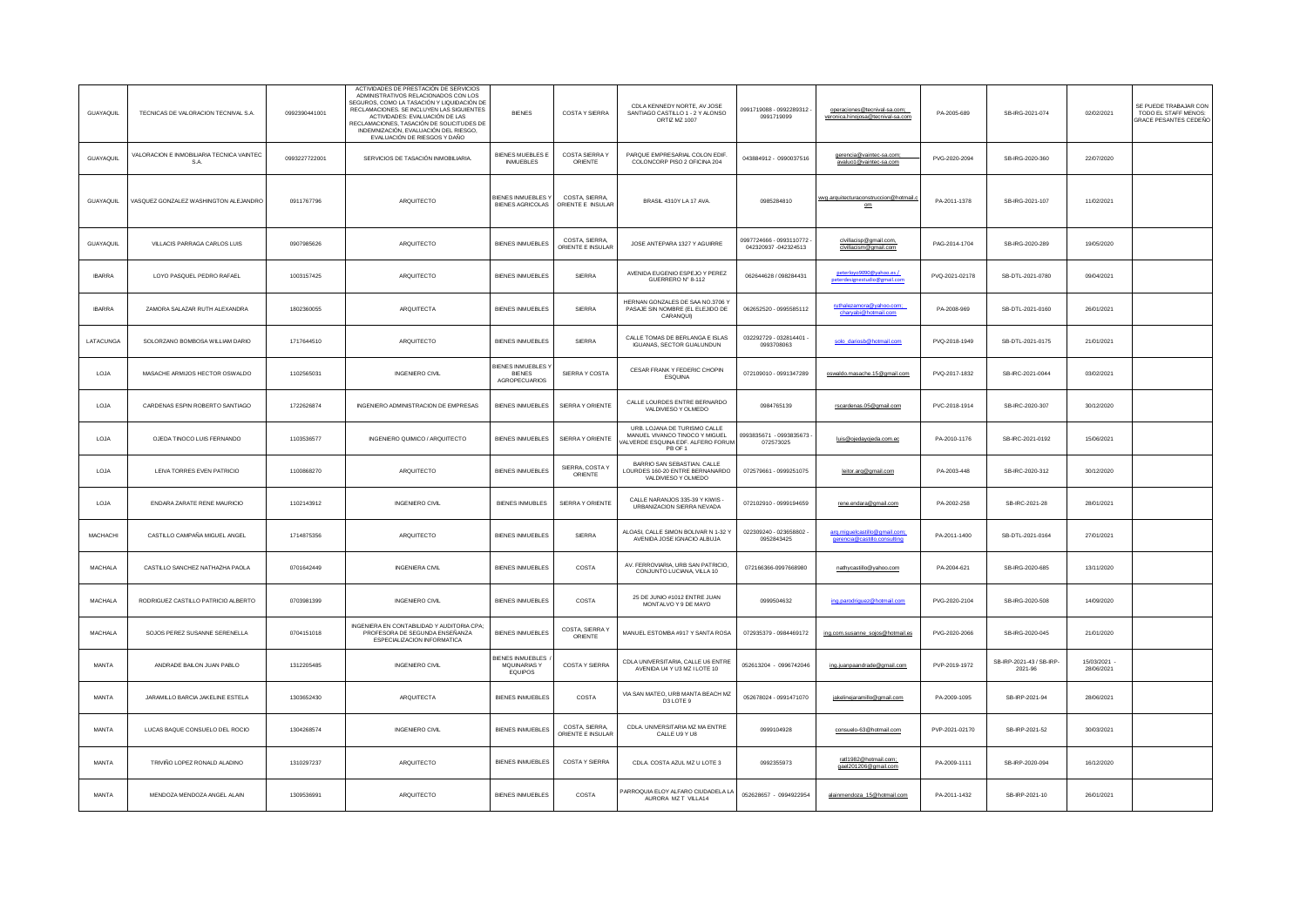| GUAYAOUL         | TECNICAS DE VALORACION TECNIVAL S.A.              | 0992390441001 | ACTIVIDADES DE PRESTACIÓN DE SERVICIOS<br>ADMINISTRATIVOS RELACIONADOS CON LOS<br>SEGUROS, COMO LA TASACIÓN Y LIQUIDACIÓN DE<br>RECLAMACIONES. SE INCLUYEN LAS SIGUIENTES<br>ACTIVIDADES: EVALUACIÓN DE LAS<br>RECI AMACIONES TASACIÓN DE SOLICITUDES DE<br>INDEMNIZACIÓN. EVALUACIÓN DEL RIESGO.<br>EVALUACIÓN DE RIESGOS Y DAÑO | <b>BIENES</b>                                        | COSTA Y SIERRA                      | CDI A KENNEDY NORTE AV JOSE<br>SANTIAGO CASTILLO 1 - 2 Y ALONSO<br>ORTIZ MZ 1007                                | 0991719088 - 0992289312<br>0991719099          | operaciones@tecnival-sa.com;<br>veronica.hinoiosa@tecnival-sa.com | PA-2005-689    | SB-IRG-2021-074                     | 02/02/2021               | SE PUEDE TRABAJAR CON<br>TODO EL STAFF MENOS:<br>GRACE PESANTES CEDEÑO |
|------------------|---------------------------------------------------|---------------|-----------------------------------------------------------------------------------------------------------------------------------------------------------------------------------------------------------------------------------------------------------------------------------------------------------------------------------|------------------------------------------------------|-------------------------------------|-----------------------------------------------------------------------------------------------------------------|------------------------------------------------|-------------------------------------------------------------------|----------------|-------------------------------------|--------------------------|------------------------------------------------------------------------|
| <b>GUAYAQUIL</b> | VALORACION E INMOBILIARIA TECNICA VAINTEC<br>S.A. | 0993227722001 | SERVICIOS DE TASACIÓN INMOBILIARIA.                                                                                                                                                                                                                                                                                               | <b>BIENES MUEBLES E</b><br><b>INMUEBLES</b>          | COSTA SIERRA Y<br>ORIENTE           | PARQUE EMPRESARIAL COLON EDIF.<br>COLONCORP PISO 2 OFICINA 204                                                  | 043884912 - 0990037516                         | gerencia@vaintec-sa.com;<br>avaluo1@vaintec-sa.com                | PVG-2020-2094  | SB-IRG-2020-360                     | 22/07/2020               |                                                                        |
| <b>GUAYAQUIL</b> | VASQUEZ GONZALEZ WASHINGTON ALEJANDRO             | 0911767796    | ARQUITECTO                                                                                                                                                                                                                                                                                                                        | BIENES INMUEBLES Y<br><b>BIENES AGRICOLAS</b>        | COSTA, SIERRA<br>ORIENTE E INSULAR  | BRASIL 4310Y LA 17 AVA.                                                                                         | 0985284810                                     | wyg.arquitecturaconstruccion@hotmail.o<br>om                      | PA-2011-1378   | SB-IRG-2021-107                     | 11/02/2021               |                                                                        |
| GUAYAQUIL        | VILLACIS PARRAGA CARLOS LUIS                      | 0907985626    | ARQUITECTO                                                                                                                                                                                                                                                                                                                        | <b>BIENES INMUEBLES</b>                              | COSTA SIERRA<br>ORIENTE E INSULAR   | JOSE ANTEPARA 1327 Y AGUIRRE                                                                                    | 0997724666 - 0993110772<br>042320937-042324513 | civiliacisp@gmail.com<br>civiliacism@gmail.com                    | PAG-2014-1704  | SB-IRG-2020-289                     | 19/05/2020               |                                                                        |
| <b>IBARRA</b>    | LOYO PASQUEL PEDRO RAFAEL                         | 1003157425    | ARQUITECTO                                                                                                                                                                                                                                                                                                                        | <b>BIENES INMUEBLES</b>                              | SIERRA                              | AVENIDA EUGENIO ESPEJO Y PEREZ<br>GUERRERO Nº 8-112                                                             | 062644628 / 098284431                          | Neterlovo9090@vahoo.es<br>peterdesignestudio@gmail.com            | PVQ-2021-02178 | SB-DTL-2021-0780                    | 09/04/2021               |                                                                        |
| <b>IBARRA</b>    | ZAMORA SALAZAR RUTH ALEXANDRA                     | 1802360055    | <b>ARQUITECTA</b>                                                                                                                                                                                                                                                                                                                 | <b>BIENES INMUEBLES</b>                              | SIERRA                              | HERNAN GONZALES DE SAA NO.3706 Y<br>PASAJE SIN NOMBRE (EL ELEJIDO DE<br>CARANQUI)                               | 062652520 - 0995585112                         | ruthalezamora@yahoo.com;<br>charyabi@hotmail.com                  | PA-2008-969    | SB-DTL-2021-0160                    | 26/01/2021               |                                                                        |
| LATACUNGA        | SOLORZANO BOMBOSA WILLIAM DARIO                   | 1717644510    | ARQUITECTO                                                                                                                                                                                                                                                                                                                        | <b>BIENES INMUEBLES</b>                              | SIERRA                              | CALLE TOMAS DE BERLANGA E ISLAS<br>IGUANAS, SECTOR GUALUNDUN                                                    | 032292729 - 032814401 -<br>0993708063          | solo dariosb@hotmail.com                                          | PVQ-2018-1949  | SB-DTL-2021-0175                    | 21/01/2021               |                                                                        |
| LOJA             | MASACHE ARMIJOS HECTOR OSWALDO                    | 1102565031    | <b>INGENIERO CIVIL</b>                                                                                                                                                                                                                                                                                                            | <b>BIENES INMUEBLES Y</b><br>BIENES<br>AGROPECUARIOS | SIERRA Y COSTA                      | CESAR FRANK Y FEDERIC CHOPIN<br>ESQUINA                                                                         | 072109010 - 0991347289                         | oswaldo.masache.15@gmail.com                                      | PVQ-2017-1832  | SB-IRC-2021-0044                    | 03/02/2021               |                                                                        |
| LOJA             | CARDENAS ESPIN ROBERTO SANTIAGO                   | 1722626874    | INGENIERO ADMINISTRACION DE EMPRESAS                                                                                                                                                                                                                                                                                              | <b>BIENES INMUEBLES</b>                              | SIERRA Y ORIENTE                    | CALLE LOURDES ENTRE BERNARDO<br>VALDIVIESO Y OLMEDO                                                             | 0984765139                                     | rscardenas.05@gmail.com                                           | PVC-2018-1914  | SB-IRC-2020-307                     | 30/12/2020               |                                                                        |
| LOJA             | OJEDA TINOCO LUIS FERNANDO                        | 1103536577    | INGENIERO QUIMICO / ARQUITECTO                                                                                                                                                                                                                                                                                                    | <b>BIENES INMUEBLES</b>                              | SIERRA Y ORIENTE                    | URB. LOJANA DE TURISMO CALLE<br>MANUEL VIVANCO TINOCO Y MIGUEL<br>VALVERDE ESQUINA EDF. ALFERO FORUM<br>PR OF 1 | 0993835671 - 0993835673<br>072573025           | luis@oiedavoieda.com.ec                                           | PA-2010-1176   | SB-IRC-2021-0192                    | 15/06/2021               |                                                                        |
| LOJA             | LEIVA TORRES EVEN PATRICIO                        | 1100868270    | ARQUITECTO                                                                                                                                                                                                                                                                                                                        | <b>BIENES INMUEBLES</b>                              | SIERRA, COSTA Y<br>ORIENTE          | BARRIO SAN SEBASTIAN, CALLE<br>LOURDES 160-20 ENTRE BERNANARDO<br>VALDIVIESO Y OLMEDO                           | 072579661 - 0999251075                         | leitor.arg@gmail.com                                              | PA-2003-448    | SB-IRC-2020-312                     | 30/12/2020               |                                                                        |
| LOJA             | ENDARA ZARATE RENE MAURICIO                       | 1102143912    | <b>INGENIERO CIVIL</b>                                                                                                                                                                                                                                                                                                            | <b>BIENES INMUBLES</b>                               | SIERRA Y ORIENTE                    | CALLE NARANJOS 335-39 Y KIWIS -<br>URBANIZACION SIERRA NEVADA                                                   | 072102910 - 0999194659                         | rene.endara@gmail.com                                             | PA-2002-258    | SB-IRC-2021-28                      | 28/01/2021               |                                                                        |
| MACHACHI         | CASTILLO CAMPAÑA MIGUEL ANGEL                     | 1714875356    | ARQUITECTO                                                                                                                                                                                                                                                                                                                        | <b>BIENES INMUEBLES</b>                              | SIERRA                              | ALOASI. CALLE SIMON BOLIVAR N 1-32 Y<br>AVENIDA JOSE IGNACIO ALBUJA                                             | 022309240 - 023658802<br>0952843425            | arg.miguelcastillo@gmail.com;<br>gerencia@castillo.consulting     | PA-2011-1400   | SB-DTL-2021-0164                    | 27/01/2021               |                                                                        |
| MACHALA          | CASTILLO SANCHEZ NATHAZHA PAOLA                   | 0701642449    | <b>INGENIERA CIVIL</b>                                                                                                                                                                                                                                                                                                            | <b>BIENES INMUEBLES</b>                              | COSTA                               | AV. FERROVIARIA, URB SAN PATRICIO,<br>CONJUNTO LUCIANA, VILLA 10                                                | 072166366-0997668980                           | nathycastillo@vahoo.com                                           | PA-2004-621    | SB-IRG-2020-685                     | 13/11/2020               |                                                                        |
| MACHALA          | RODRIGUEZ CASTILLO PATRICIO ALBERTO               | 0703981399    | INGENIERO CIVIL                                                                                                                                                                                                                                                                                                                   | <b>BIENES INMUEBLES</b>                              | COSTA                               | 25 DE JUNIO #1012 ENTRE JUAN<br>MONTALVO Y 9 DE MAYO                                                            | 0999504632                                     | ing.parodriguez@hotmail.com                                       | PVG-2020-2104  | SB-IRG-2020-508                     | 14/09/2020               |                                                                        |
| <b>MACHALA</b>   | SOJOS PEREZ SUSANNE SERENELLA                     | 0704151018    | INGENIERA EN CONTABILIDAD Y AUDITORIA CPA<br>PROFESORA DE SEGUNDA ENSEÑANZA<br>ESPECIALIZACION INFORMATICA                                                                                                                                                                                                                        | <b>BIENES INMUEBLES</b>                              | COSTA, SIERRA Y<br>ORIENTE          | MANUEL ESTOMBA #917 Y SANTA ROSA                                                                                | 072935379 - 0984469172                         | ing.com.susanne_sojos@hotmail.es                                  | PVG-2020-2066  | SB-IRG-2020-045                     | 21/01/2020               |                                                                        |
| MANTA            | ANDRADE BAILON JUAN PABLO                         | 1312205485    | INGENIERO CIVIL                                                                                                                                                                                                                                                                                                                   | BIENES INMUEBLES<br>MQUINARIAS Y<br>EQUIPOS          | COSTA Y SIERRA                      | CDLA UNIVERSITARIA, CALLE U6 ENTRE<br>AVENIDA U4 Y U3 MZ I LOTE 10                                              | 052613204 - 0996742046                         | ing.juanpaandrade@gmail.com                                       | PVP-2019-1972  | SB-IRP-2021-43 / SB-IRP-<br>2021-96 | 15/03/2021<br>28/06/2021 |                                                                        |
| MANTA            | JARAMILLO BARCIA JAKELINE ESTELA                  | 1303652430    | ARQUITECTA                                                                                                                                                                                                                                                                                                                        | <b>BIENES INMUEBLES</b>                              | COSTA                               | VIA SAN MATEO, URB MANTA BEACH MZ<br>D3 LOTE 9                                                                  | 052678024 - 0991471070                         | jakelinejaramillo@gmail.com                                       | PA-2009-1095   | SB-IRP-2021-94                      | 28/06/2021               |                                                                        |
| MANTA            | LUCAS BAQUE CONSUELO DEL ROCIO                    | 1304268574    | <b>INGENIERO CIVIL</b>                                                                                                                                                                                                                                                                                                            | <b>BIENES INMUEBLES</b>                              | COSTA, SIERRA,<br>ORIENTE E INSULAR | CDLA. UNIVERSITARIA MZ MA ENTRE<br>CALLE U9 Y U8                                                                | 0999104928                                     | consuelo-63@hotmail.com                                           | PVP-2021-02170 | SB-IRP-2021-52                      | 30/03/2021               |                                                                        |
| MANTA            | TRIVIÑO LOPEZ RONALD ALADINO                      | 1310297237    | ARQUITECTO                                                                                                                                                                                                                                                                                                                        | <b>BIENES INMUEBLES</b>                              | <b>COSTAY SIERRA</b>                | CDLA, COSTA AZUL MZ U LOTE 3                                                                                    | 0992355973                                     | ratl1982@hotmail.com;<br>gael201206@gmail.com                     | PA-2009-1111   | SB-IRP-2020-094                     | 16/12/2020               |                                                                        |
| MANTA            | MENDOZA MENDOZA ANGEL ALAIN                       | 1309536991    | ARQUITECTO                                                                                                                                                                                                                                                                                                                        | <b>BIENES INMUEBLES</b>                              | COSTA                               | PARROQUIA ELOY ALFARO CIUDADELA LA<br>AURORA MZ T VILLA14                                                       | 052628657 - 0994922954                         | alainmendoza_15@hotmail.com                                       | PA-2011-1432   | SB-IRP-2021-10                      | 26/01/2021               |                                                                        |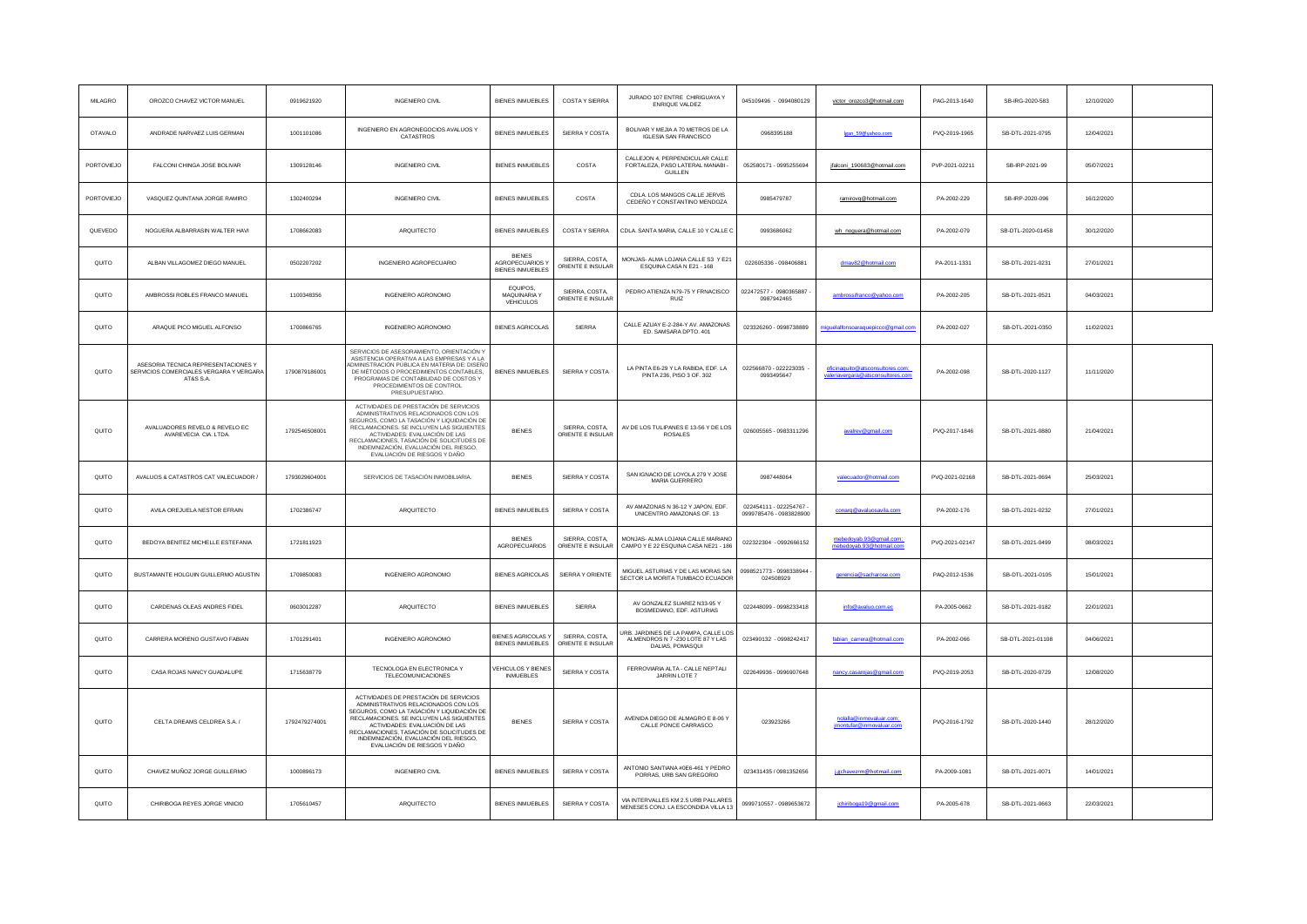| MILAGRO        | OROZCO CHAVEZ VICTOR MANUEL                                                                 | 0919621920    | <b>INGENIERO CIVIL</b>                                                                                                                                                                                                                                                                                                            | <b>BIENES INMUEBLES</b>                                     | <b>COSTAY SIERRA</b>                | JURADO 107 ENTRE CHIRIGUAYA Y<br>ENRIQUE VALDEZ                                            | 045109496 - 0994080129                             | victor_orozco3@hotmail.com                                            | PAG-2013-1640  | SB-IRG-2020-583   | 12/10/2020 |  |
|----------------|---------------------------------------------------------------------------------------------|---------------|-----------------------------------------------------------------------------------------------------------------------------------------------------------------------------------------------------------------------------------------------------------------------------------------------------------------------------------|-------------------------------------------------------------|-------------------------------------|--------------------------------------------------------------------------------------------|----------------------------------------------------|-----------------------------------------------------------------------|----------------|-------------------|------------|--|
| <b>OTAVALO</b> | ANDRADE NARVAEZ LUIS GERMAN                                                                 | 1001101086    | INGENIERO EN AGRONEGOCIOS AVALUOS Y<br>CATASTROS                                                                                                                                                                                                                                                                                  | BIENES INMUEBLES                                            | SIERRA Y COSTA                      | BOLIVAR Y MEJIA A 70 METROS DE LA<br><b>IGLESIA SAN FRANCISCO</b>                          | 0968395188                                         | Igan 59@yahoo.com                                                     | PVQ-2019-1965  | SB-DTL-2021-0795  | 12/04/2021 |  |
| PORTOVIEJO     | FALCONI CHINGA JOSE BOLIVAR                                                                 | 1309128146    | INGENIERO CIVIL                                                                                                                                                                                                                                                                                                                   | <b>BIENES INMUEBLES</b>                                     | COSTA                               | CALLEJON 4, PERPENDICULAR CALLE<br>FORTALEZA, PASO LATERAL MANABI -<br><b>GUILLEN</b>      | 052580171 - 0995255694                             | jfalconi_190683@hotmail.com                                           | PVP-2021-02211 | SB-IRP-2021-99    | 05/07/2021 |  |
| PORTOVIEJO     | VASQUEZ QUINTANA JORGE RAMIRO                                                               | 1302400294    | <b>INGENIERO CIVIL</b>                                                                                                                                                                                                                                                                                                            | <b>BIENES INMUEBLES</b>                                     | COSTA                               | CDLA. LOS MANGOS CALLE JERVIS<br>CEDEÑO Y CONSTANTINO MENDOZA                              | 0985479787                                         | ramirovo@hotmail.com                                                  | PA-2002-229    | SB-IRP-2020-096   | 16/12/2020 |  |
| QUEVEDO        | NOGUERA ALBARRASIN WALTER HAVI                                                              | 1708662083    | ARQUITECTO                                                                                                                                                                                                                                                                                                                        | BIENES INMUEBLES                                            | COSTA Y SIERRA                      | CDLA. SANTA MARIA, CALLE 10 Y CALLE C                                                      | 0993686062                                         | wh_noguera@hotmail.com                                                | PA-2002-079    | SB-DTL-2020-01458 | 30/12/2020 |  |
| QUITO          | ALBAN VILLAGOMEZ DIEGO MANUEL                                                               | 0502207202    | INGENIERO AGROPECUARIO                                                                                                                                                                                                                                                                                                            | <b>BIFNES</b><br>AGROPECUARIOS Y<br><b>BIENES INMUEBLES</b> | SIERRA, COSTA,<br>ORIENTE E INSULAR | MONJAS- ALMA LOJANA CALLE S3 Y E21<br>ESQUINA CASA N E21 - 168                             | 022605336 - 098406881                              | dmav82@hotmail.com                                                    | PA-2011-1331   | SB-DTL-2021-0231  | 27/01/2021 |  |
| QUITO          | AMBROSSI ROBLES FRANCO MANUEL                                                               | 1100348356    | INGENIERO AGRONOMO                                                                                                                                                                                                                                                                                                                | EQUIPOS,<br>MAQUINARIA Y<br>VEHICULOS                       | SIERRA, COSTA,<br>ORIENTE E INSULAR | PEDRO ATIENZA N79-75 Y FRNACISCO<br>RUIZ                                                   | 022472577 - 0980365887<br>0987942465               | amhrossifranco@vahoo.com                                              | PA-2002-205    | SB-DTL-2021-0521  | 04/03/2021 |  |
| QUITO          | ARAQUE PICO MIGUEL ALFONSO                                                                  | 1700866765    | INGENIERO AGRONOMO                                                                                                                                                                                                                                                                                                                | <b>BIENES AGRICOLAS</b>                                     | SIERRA                              | CALLE AZUAY E-2-284-Y AV. AMAZONAS<br>ED. SAMSARA DPTO, 401                                | 023326260 - 0998738889                             | quelalfonsoaraquepicco@gmail.co                                       | PA-2002-027    | SB-DTL-2021-0350  | 11/02/2021 |  |
| QUITO          | ASESORIA TECNICA REPRESENTACIONES Y<br>SERVICIOS COMERCIALES VERGARA Y VERGARA<br>AT&S S.A. | 1790879186001 | SERVICIOS DE ASESORAMIENTO, ORIENTACIÓN Y<br>ASISTENCIA OPERATIVA A LAS EMPRESAS Y A LA<br>ADMINISTRACIÓN PÚBLICA EN MATERIA DE: DISEÑO<br>DE MÉTODOS O PROCEDIMIENTOS CONTABLES,<br>PROGRAMAS DE CONTABILIDAD DE COSTOS Y<br>PROCEDIMIENTOS DE CONTROL<br>PRESUPUESTARIO.                                                        | BIENES INMUEBLES                                            | SIERRA Y COSTA                      | LA PINTA E6-29 Y LA RABIDA, EDF. LA<br>PINTA 236, PISO 3 OF. 302                           | 022566870 - 022223035<br>0993495647                | oficinaquito@atsconsultores.com:<br>valeriavergara@atsconsultores.com | PA-2002-098    | SB-DTL-2020-1127  | 11/11/2020 |  |
| QUITO          | AVALUADORES REVELO & REVELO EC<br>AVAREVECIA CIA. LTDA.                                     | 1792546508001 | ACTIVIDADES DE PRESTACIÓN DE SERVICIOS<br>ADMINISTRATIVOS RELACIONADOS CON LOS<br>SEGUROS, COMO LA TASACIÓN Y LIQUIDACIÓN DE<br>RECLAMACIONES, SE INCLUYEN LAS SIGUIENTES<br>ACTIVIDADES: EVALUACIÓN DE LAS<br>RECLAMACIONES, TASACIÓN DE SOLICITUDES DE<br>INDEMNIZACIÓN, EVALUACIÓN DEL RIESGO.<br>EVALUACIÓN DE RIESGOS Y DAÑO | <b>BIENES</b>                                               | SIERRA, COSTA,<br>ORIENTE E INSULAR | AV DE LOS TULIPANES E 13-56 Y DE LOS<br>ROSALES                                            | 026005565 - 0983311296                             | avalrey@omail.com                                                     | PVQ-2017-1846  | SB-DTL-2021-0880  | 21/04/2021 |  |
| QUITO          | AVALUOS & CATASTROS CAT VALECUADOR                                                          | 1793029604001 | SERVICIOS DE TASACIÓN INMOBILIARIA.                                                                                                                                                                                                                                                                                               | <b>BIENES</b>                                               | SIERRA Y COSTA                      | SAN IGNACIO DE LOYOLA 279 Y JOSE<br>MARIA GUERRERO                                         | 0987448064                                         | valecuador@hotmail.com                                                | PVQ-2021-02168 | SB-DTL-2021-0694  | 25/03/2021 |  |
| QUITO          | AVILA OREJUELA NESTOR EFRAIN                                                                | 1702386747    | ARQUITECTO                                                                                                                                                                                                                                                                                                                        | <b>BIENES INMUEBLES</b>                                     | SIERRA Y COSTA                      | AV AMAZONAS N 36-12 Y JAPON, EDF.<br>UNICENTRO AMAZONAS OF. 13                             | 022454111 - 022254767 -<br>0999785476 - 0983828900 | conaro@avaluosavila.com                                               | PA-2002-176    | SB-DTL-2021-0232  | 27/01/2021 |  |
| QUITO          | BEDOYA BENITEZ MICHELLE ESTEFANIA                                                           | 1721811923    |                                                                                                                                                                                                                                                                                                                                   | <b>BIENES</b><br>AGROPECUARIOS                              | SIERRA COSTA<br>ORIENTE E INSULAR   | MONJAS- ALMA LOJANA CALLE MARIANO<br>CAMPO Y E 22 ESQUINA CASA NE21 - 186                  | 022322304 - 0992666152                             | mebedoyab.93@gmail.com;<br>mebedoyab.93@hotmail.com                   | PVQ-2021-02147 | SB-DTL-2021-0499  | 08/03/2021 |  |
| QUITO          | BUSTAMANTE HOLGUIN GUILLERMO AGUSTIN                                                        | 1709850083    | INGENIERO AGRONOMO                                                                                                                                                                                                                                                                                                                | <b>BIENES AGRICOLAS</b>                                     | SIERRA Y ORIENTE                    | MIGUEL ASTURIAS Y DE LAS MORAS S/N<br>SECTOR LA MORITA TUMBACO ECUADOR                     | 0998521773 - 0998338944<br>024508929               | gerencia@sacharose.com                                                | PAQ-2012-1536  | SB-DTL-2021-0105  | 15/01/2021 |  |
| QUITO          | CARDENAS OLEAS ANDRES FIDEL                                                                 | 0603012287    | ARQUITECTO                                                                                                                                                                                                                                                                                                                        | BIENES INMUEBLES                                            | <b>SIERRA</b>                       | AV GONZALEZ SUAREZ N33-95 Y<br>BOSMEDIANO, EDF. ASTURIAS                                   | 022448099 - 0998233418                             | info@avaluo.com.ec                                                    | PA-2005-0662   | SB-DTL-2021-0182  | 22/01/2021 |  |
| QUITO          | CARRERA MORENO GUSTAVO FABIAN                                                               | 1701291401    | INGENIERO AGRONOMO                                                                                                                                                                                                                                                                                                                | BIENES AGRICOLAS Y<br>BIENES INMUEBLES                      | SIERRA, COSTA<br>ORIENTE E INSULAR  | JRB JARDINES DE LA PAMPA, CALLETOS<br>ALMENDROS N 7 -230 LOTE 87 Y LAS<br>DALIAS, POMASQUI | 023490132 - 0998242417                             | fabian_carrera@hotmail.com                                            | PA-2002-066    | SB-DTL-2021-01108 | 04/06/2021 |  |
| QUITO          | CASA ROJAS NANCY GUADALUPE                                                                  | 1715638779    | TECNOLOGA EN ELECTRONICA Y<br><b>TELECOMUNICACIONES</b>                                                                                                                                                                                                                                                                           | <b>/EHICULOS Y BIENES</b><br><b>INMUEBLES</b>               | SIERRA Y COSTA                      | FERROVIARIA ALTA - CALLE NEPTALI<br>JARRIN LOTE 7                                          | 022649936 - 0996907648                             | nancy.casaroias@gmail.com                                             | PVQ-2019-2053  | SB-DTL-2020-0729  | 12/08/2020 |  |
| QUITO          | CELTA DREAMS CELDREA S.A. /                                                                 | 1792479274001 | ACTIVIDADES DE PRESTACIÓN DE SERVICIOS<br>ADMINISTRATIVOS RELACIONADOS CON LOS<br>SEGUROS, COMO LA TASACIÓN Y LIQUIDACIÓN DE<br>RECLAMACIONES. SE INCLUYEN LAS SIGUIENTES<br>ACTIVIDADES: EVALUACIÓN DE LAS<br>RECLAMACIONES, TASACIÓN DE SOLICITUDES DE<br>INDEMNIZACIÓN, EVALUACIÓN DEL RIESGO.<br>EVALUACIÓN DE RIESGOS Y DAÑO | <b>BIENES</b>                                               | SIERRA Y COSTA                      | AVENIDA DIEGO DE ALMAGRO E 8-06 Y<br>CALLE PONCE CARRASCO                                  | 023923266                                          | imontufar@inmovaluar.com                                              | PVQ-2016-1792  | SB-DTL-2020-1440  | 28/12/2020 |  |
| QUITO          | CHAVEZ MUÑOZ JORGE GUILLERMO                                                                | 1000896173    | <b>INGENIERO CIVIL</b>                                                                                                                                                                                                                                                                                                            | <b>BIENES INMUEBLES</b>                                     | SIERRA Y COSTA                      | ANTONIO SANTIANA #0E6-461 Y PEDRO<br>PORRAS, URB SAN GREGORIO                              | 023431435 / 0981352656                             | j.gchavezrm@hotmail.com                                               | PA-2009-1081   | SB-DTL-2021-0071  | 14/01/2021 |  |
| QUITO          | CHIRIBOGA REYES JORGE VINICIO                                                               | 1705610457    | ARQUITECTO                                                                                                                                                                                                                                                                                                                        | BIENES INMUEBLES                                            | SIERRA Y COSTA                      | VIA INTERVALLES KM 2.5 URB PALLARES<br>MENESES CONJ. LA ESCONDIDA VILLA 13                 | 0999710557 - 0989653672                            | jchiriboga19@gmail.com                                                | PA-2005-678    | SB-DTL-2021-0663  | 22/03/2021 |  |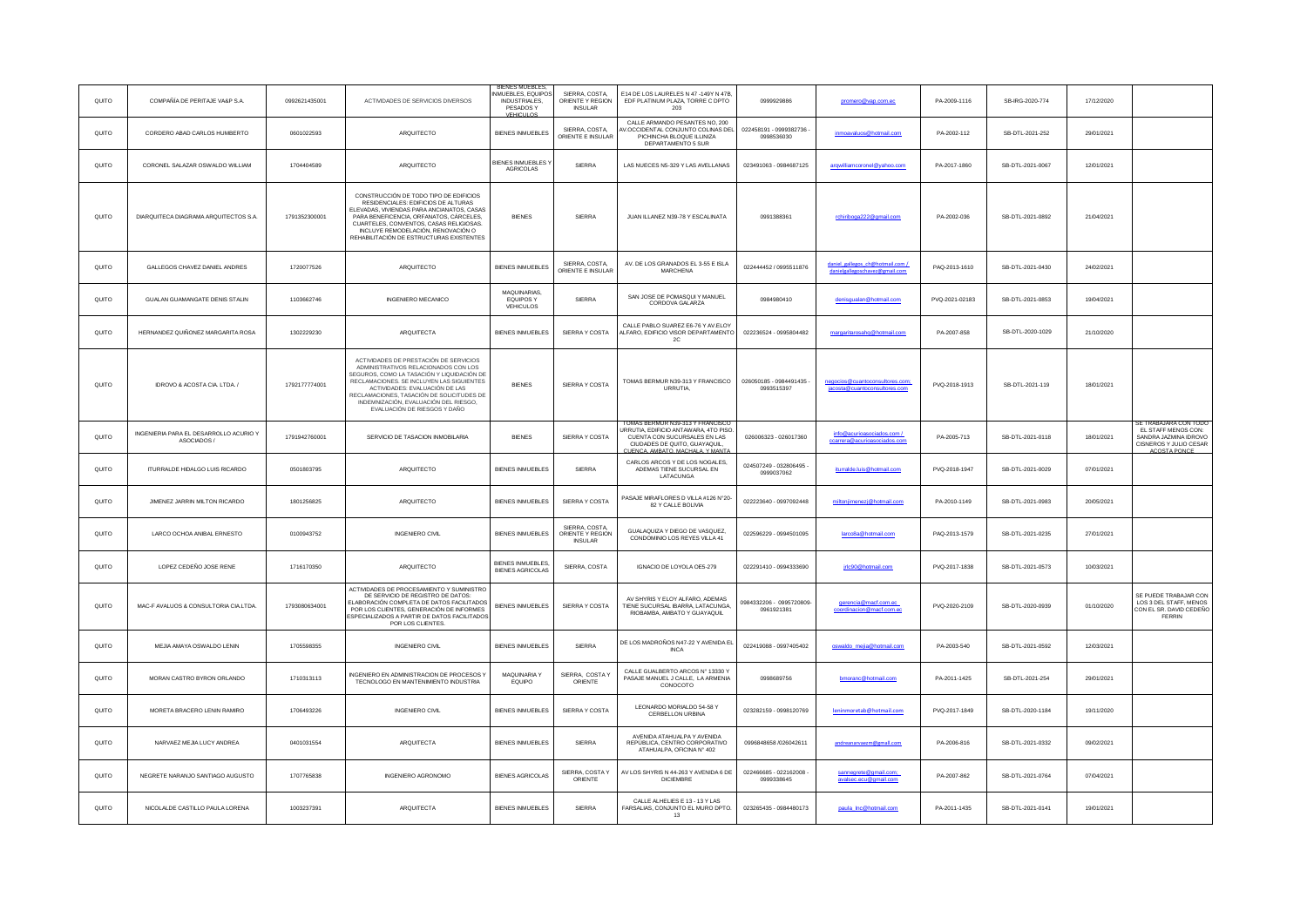| QUITO | COMPAÑÍA DE PERITAJE VA&P S.A.                        | 0992621435001 | ACTIVIDADES DE SERVICIOS DIVERSOS                                                                                                                                                                                                                                                                                                 | <b>BIENES MUEBLES,</b><br>NMUEBLES, EQUIPOS<br><b>INDUSTRIALES,</b><br>PESADOS Y<br>VEHICLII OS | SIERRA, COSTA,<br>ORIENTE Y REGION<br><b>INSULAR</b> | E14 DE LOS LAURELES N 47 -149Y N 47B,<br>EDF PLATINUM PLAZA, TORRE C DPTO<br>203                                                                                                   | 0999929886                             | promero@vap.com.ed                                                 | PA-2009-1116   | SB-IRG-2020-774  | 17/12/2020 |                                                                                                                 |
|-------|-------------------------------------------------------|---------------|-----------------------------------------------------------------------------------------------------------------------------------------------------------------------------------------------------------------------------------------------------------------------------------------------------------------------------------|-------------------------------------------------------------------------------------------------|------------------------------------------------------|------------------------------------------------------------------------------------------------------------------------------------------------------------------------------------|----------------------------------------|--------------------------------------------------------------------|----------------|------------------|------------|-----------------------------------------------------------------------------------------------------------------|
| QUITO | CORDERO ABAD CARLOS HUMBERTO                          | 0601022593    | ARQUITECTO                                                                                                                                                                                                                                                                                                                        | <b>BIENES INMUEBLES</b>                                                                         | SIERRA, COSTA,<br>ORIENTE E INSULAR                  | CALLE ARMANDO PESANTES NO. 200<br>V.OCCIDENTAL CONJUNTO COLINAS DEL<br>PICHINCHA BLOQUE ILLINIZA<br>DEPARTAMENTO 5 SUR                                                             | 022458191 - 0999382736<br>0998536030   | inmoavaluos@hotmail.com                                            | PA-2002-112    | SB-DTL-2021-252  | 29/01/2021 |                                                                                                                 |
| QUITO | CORONEL SALAZAR OSWALDO WILLIAM                       | 1704404589    | ARQUITECTO                                                                                                                                                                                                                                                                                                                        | <b>BIENES INMUERLES Y</b><br>AGRICOLAS                                                          | SIERRA                                               | LAS NUECES N5-329 Y LAS AVELLANAS                                                                                                                                                  | 023491063 - 0984687125                 | arqwilliamcoronel@yahoo.com                                        | PA-2017-1860   | SB-DTL-2021-0067 | 12/01/2021 |                                                                                                                 |
| QUITO | DIARQUITECA DIAGRAMA ARQUITECTOS S.A.                 | 1791352300001 | CONSTRUCCIÓN DE TODO TIPO DE EDIFICIOS<br>RESIDENCIALES: EDIFICIOS DE ALTURAS<br>ELEVADAS, VIVIENDAS PARA ANCIANATOS, CASAS<br>PARA BENEFICENCIA, ORFANATOS, CÁRCELES,<br>CUARTELES, CONVENTOS, CASAS RELIGIOSAS.<br>INCLUYE REMODELACIÓN, RENOVACIÓN O<br>REHABILITACIÓN DE ESTRUCTURAS EXISTENTES                               | <b>BIENES</b>                                                                                   | SIERRA                                               | JUAN ILLANEZ N39-78 Y ESCALINATA                                                                                                                                                   | 0991388361                             | rchiriboga222@gmail.com                                            | PA-2002-036    | SB-DTL-2021-0892 | 21/04/2021 |                                                                                                                 |
| QUITO | GALLEGOS CHAVEZ DANIEL ANDRES                         | 1720077526    | ARQUITECTO                                                                                                                                                                                                                                                                                                                        | BIENES INMUEBLES                                                                                | SIERRA, COSTA<br>ORIENTE E INSULAR                   | AV. DE LOS GRANADOS EL 3-55 E ISLA<br><b>MARCHENA</b>                                                                                                                              | 022444452 / 0995511876                 | daniel gallegos ch@hotmail.com /<br>danielgallegoschavez@gmail.com | PAQ-2013-1610  | SB-DTL-2021-0430 | 24/02/2021 |                                                                                                                 |
| QUITO | GUALAN GUAMANGATE DENIS STALIN                        | 1103662746    | <b>INGENIERO MECANICO</b>                                                                                                                                                                                                                                                                                                         | MAQUINARIAS,<br>EQUIPOS Y<br>VEHICULOS                                                          | SIFRRA                                               | SAN JOSE DE POMASQUI Y MANUEL<br>CORDOVA GALARZA                                                                                                                                   | 0984980410                             | denisqualan@hotmail.com                                            | PVQ-2021-02183 | SB-DTL-2021-0853 | 19/04/2021 |                                                                                                                 |
| QUITO | HERNANDEZ QUIÑONEZ MARGARITA ROSA                     | 1302229230    | ARQUITECTA                                                                                                                                                                                                                                                                                                                        | BIENES INMUEBLES                                                                                | SIERRA Y COSTA                                       | CALLE PABLO SUAREZ E6-76 Y AV.ELOY<br>ALFARO, EDIFICIO VISOR DEPARTAMENTO<br>2C                                                                                                    | 022236524 - 0995804482                 | margaritarosahq@hotmail.com                                        | PA-2007-858    | SB-DTL-2020-1029 | 21/10/2020 |                                                                                                                 |
| QUITO | IDROVO & ACOSTA CIA. LTDA. /                          | 1792177774001 | ACTIVIDADES DE PRESTACIÓN DE SERVICIOS<br>ADMINISTRATIVOS RELACIONADOS CON LOS<br>SEGUROS, COMO LA TASACIÓN Y LIQUIDACIÓN DI<br>RECLAMACIONES. SE INCLUYEN LAS SIGUIENTES<br>ACTIVIDADES: EVALUACIÓN DE LAS<br>RECLAMACIONES, TASACIÓN DE SOLICITUDES DE<br>INDEMNIZACIÓN, EVALUACIÓN DEL RIESGO,<br>EVALUACIÓN DE RIESGOS Y DAÑO | <b>BIENES</b>                                                                                   | SIERRA Y COSTA                                       | TOMAS BERMUR N39-313 Y FRANCISCO<br><b>URRUTIA</b>                                                                                                                                 | 026050185 - 0984491435 -<br>0993515397 | negocios@cuantoconsultores.com;<br>jacosta@cuantoconsultores.com   | PVQ-2018-1913  | SB-DTL-2021-119  | 18/01/2021 |                                                                                                                 |
| QUITO | INGENIERIA PARA EL DESARROLLO ACURIO Y<br>ASOCIADOS / | 1791942760001 | SERVICIO DE TASACION INMOBILARIA                                                                                                                                                                                                                                                                                                  | <b>BIENES</b>                                                                                   | SIERRA Y COSTA                                       | TOMAS BERMUR N39-313 Y FRANCISCO<br>URRUTIA, EDIFICIO ANTAWARA, 4TO PISO.<br>CUENTA CON SUCURSALES EN LAS<br>CIUDADES DE QUITO, GUAYAQUIL,<br><b>ILIENCA AMBATO MACHALA Y MANT</b> | 026006323 - 026017360                  | info@acurioasociados.com /<br>ccarrera@acurioasociados.com         | PA-2005-713    | SB-DTL-2021-0118 | 18/01/2021 | SE TRABAJARA CON TODO<br>EL STAFF MENOS CON:<br>SANDRA JAZMINA IDROVO<br>CISNEROS Y JULIO CESAR<br>ACOSTA PONCE |
| QUITO | ITURRALDE HIDALGO LUIS RICARDO                        | 0501803795    | ARQUITECTO                                                                                                                                                                                                                                                                                                                        | BIENES INMUEBLES                                                                                | SIERRA                                               | CARLOS ARCOS Y DE LOS NOGALES,<br>ADEMAS TIENE SUCURSAL EN<br>LATACUNGA                                                                                                            | 024507249 - 032806495<br>0999037062    | iturralde.luis@hotmail.com                                         | PVQ-2018-1947  | SB-DTL-2021-0029 | 07/01/2021 |                                                                                                                 |
| QUITO | JIMENEZ JARRIN MILTON RICARDO                         | 1801256825    | ARQUITECTO                                                                                                                                                                                                                                                                                                                        | BIENES INMUEBLES                                                                                | SIERRA Y COSTA                                       | PASAJE MIRAFLORES D VILLA #126 N°20-<br>82 Y CALLE BOLIVIA                                                                                                                         | 022223640 - 0997092448                 | miltoniimenezi@hotmail.com                                         | PA-2010-1149   | SB-DTL-2021-0983 | 20/05/2021 |                                                                                                                 |
| QUITO | LARCO OCHOA ANIBAL ERNESTO                            | 0100943752    | <b>INGENIERO CIVIL</b>                                                                                                                                                                                                                                                                                                            | BIENES INMUEBLES                                                                                | SIERRA, COSTA<br>ORIENTE Y REGION<br><b>INSULAR</b>  | GUALAQUIZA Y DIEGO DE VASQUEZ.<br>CONDOMINIO LOS REYES VILLA 41                                                                                                                    | 022596229 - 0994501095                 | larco8a@hotmail.com                                                | PAQ-2013-1579  | SB-DTL-2021-0235 | 27/01/2021 |                                                                                                                 |
| QUITO | LOPEZ CEDEÑO JOSE RENE                                | 1716170350    | ARQUITECTO                                                                                                                                                                                                                                                                                                                        | BIENES INMUEBLES,<br><b>BIENES AGRICOLAS</b>                                                    | SIERRA, COSTA                                        | IGNACIO DE LOYOLA OE5-279                                                                                                                                                          | 022291410 - 0994333690                 | irlc90@hotmail.com                                                 | PVQ-2017-1838  | SB-DTL-2021-0573 | 10/03/2021 |                                                                                                                 |
| QUITO | MAC-F AVALUOS & CONSULTORIA CIA.LTDA.                 | 1793080634001 | ACTIVIDADES DE PROCESAMIENTO Y SUMINISTRO<br>DE SERVICIO DE REGISTRO DE DATOS:<br>ELABORACIÓN COMPLETA DE DATOS FACILITADOS<br>POR LOS CLIENTES, GENERACIÓN DE INFORMES<br>ESPECIALIZADOS A PARTIR DE DATOS FACILITADOS<br>POR LOS CLIENTES.                                                                                      | BIENES INMUEBLES                                                                                | SIERRA Y COSTA                                       | AV SHYRIS Y ELOY ALFARO, ADEMAS<br>TIENE SUCURSAL IBARRA, LATACUNGA<br>RIOBAMBA, AMBATO Y GUAYAQUIL                                                                                | 0984332206 - 0995720809-<br>0961921381 | gerencia@macf.com.ec<br>coordinacion@macf.com.ec                   | PVQ-2020-2109  | SB-DTL-2020-0939 | 01/10/2020 | SE PUEDE TRABAJAR CON<br>LOS 3 DEL STAFF, MENOS<br>CON EL SR. DAVID CEDEÑO<br>FERRIN                            |
| QUITO | MEJIA AMAYA OSWALDO LENIN                             | 1705598355    | <b>INGENIERO CIVIL</b>                                                                                                                                                                                                                                                                                                            | <b>BIENES INMUEBLES</b>                                                                         | SIERRA                                               | DE LOS MADROÑOS N47-22 Y AVENIDA EL<br><b>INCA</b>                                                                                                                                 | 022419088 - 0997405402                 | oswaldo_mejia@hotmail.com                                          | PA-2003-540    | SB-DTL-2021-0592 | 12/03/2021 |                                                                                                                 |
| QUITO | MORAN CASTRO BYRON ORLANDO                            | 1710313113    | NGENIERO EN ADMINISTRACION DE PROCESOS Y<br>TECNOLOGO EN MANTENIMIENTO INDUSTRIA                                                                                                                                                                                                                                                  | <b>MAQUINARIA Y</b><br>EQUIPO                                                                   | SIERRA, COSTA Y<br>ORIENTE                           | CALLE GUALBERTO ARCOS Nº 13330 Y<br>PASAJE MANUEL J CALLE, LA ARMENIA<br>CONOCOTO                                                                                                  | 0998689756                             | bmoranc@hotmail.com                                                | PA-2011-1425   | SB-DTL-2021-254  | 29/01/2021 |                                                                                                                 |
| QUITO | MORETA BRACERO LENIN RAMIRO                           | 1706493226    | <b>INGENIERO CIVIL</b>                                                                                                                                                                                                                                                                                                            | <b>BIENES INMUEBLES</b>                                                                         | SIERRA Y COSTA                                       | LEONARDO MORIALDO 54-58 Y<br>CERBELLON URBINA                                                                                                                                      | 023282159 - 0998120769                 | leninmoretab@hotmail.com                                           | PVQ-2017-1849  | SB-DTL-2020-1184 | 19/11/2020 |                                                                                                                 |
| QUITO | NARVAEZ MEJIA LUCY ANDREA                             | 0401031554    | <b>ARQUITECTA</b>                                                                                                                                                                                                                                                                                                                 | <b>BIENES INMUEBLES</b>                                                                         | <b>SIERRA</b>                                        | AVENIDA ATAHUALPA Y AVENIDA<br>REPÚBLICA, CENTRO CORPORATIVO<br>ATAHUALPA, OFICINA Nº 402                                                                                          | 0996848658 /026042611                  | andreanarvaezm@gmall.com                                           | PA-2006-816    | SB-DTL-2021-0332 | 09/02/2021 |                                                                                                                 |
| QUITO | NEGRETE NARANJO SANTIAGO AUGUSTO                      | 1707765838    | INGENIERO AGRONOMO                                                                                                                                                                                                                                                                                                                | <b>BIENES AGRICOLAS</b>                                                                         | SIERRA, COSTA Y<br>ORIENTE                           | AV LOS SHYRIS N 44-263 Y AVENIDA 6 DE<br><b>DICIEMBRE</b>                                                                                                                          | 022466685 - 022162008 -<br>0999338645  | sannegrete@gmail.com;<br>avalsec.ecu@gmail.com                     | PA-2007-862    | SB-DTL-2021-0764 | 07/04/2021 |                                                                                                                 |
| QUITO | NICOLALDE CASTILLO PAULA LORENA                       | 1003237391    | ARQUITECTA                                                                                                                                                                                                                                                                                                                        | <b>BIENES INMUEBLES</b>                                                                         | <b>SIERRA</b>                                        | CALLE ALHELIES E 13 - 13 Y LAS<br>FARSALIAS, CONJUNTO EL MURO DPTO.<br>13                                                                                                          | 023265435 - 0984480173                 | paula_Inc@hotmail.com                                              | PA-2011-1435   | SB-DTL-2021-0141 | 19/01/2021 |                                                                                                                 |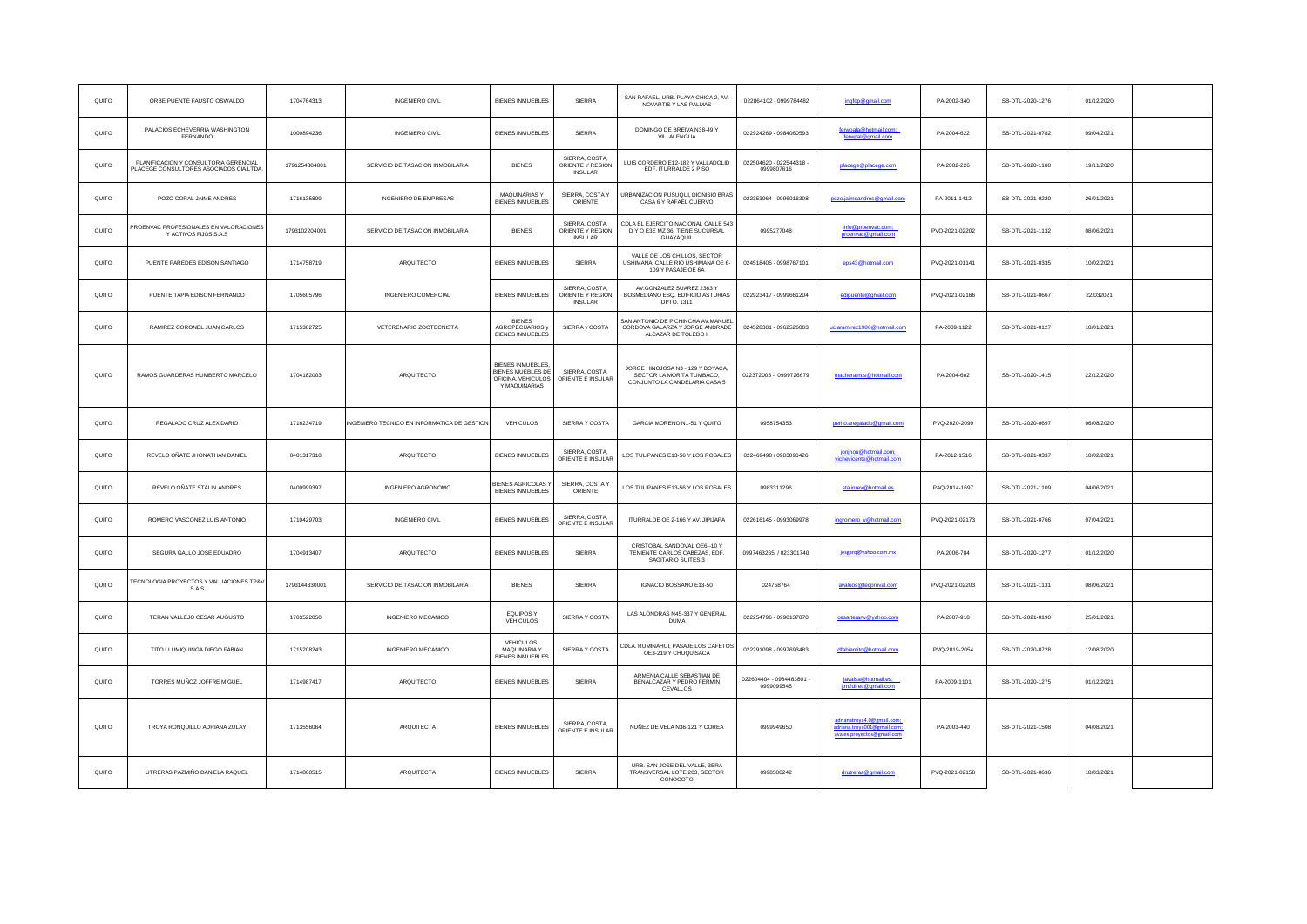| QUITO | ORBE PUENTE FAUSTO OSWALDO                                                      | 1704764313    | INGENIERO CIVIL                             | <b>BIENES INMUEBLES</b>                                                                     | SIERRA                                               | SAN RAFAEL, URB. PLAYA CHICA 2, AV<br>NOVARTIS Y LAS PALMAS                                     | 022864102 - 0999784482                 | ingfop@gmail.com                                                                        | PA-2002-340    | SB-DTL-2020-1276 | 01/12/2020 |  |
|-------|---------------------------------------------------------------------------------|---------------|---------------------------------------------|---------------------------------------------------------------------------------------------|------------------------------------------------------|-------------------------------------------------------------------------------------------------|----------------------------------------|-----------------------------------------------------------------------------------------|----------------|------------------|------------|--|
| QUITO | PALACIOS ECHEVERRIA WASHINGTON<br><b>FERNANDO</b>                               | 1000894236    | INGENIERO CIVIL                             | <b>BIENES INMUEBLES</b>                                                                     | SIERRA                                               | DOMINGO DE BREIVA N38-49 Y<br>VILLALENGUA                                                       | 022924269 - 0984060593                 | /erwpala@hotmail.com;<br>ferwpal@gmail.com                                              | PA-2004-622    | SB-DTL-2021-0782 | 09/04/2021 |  |
| QUITO | PLANIFICACION Y CONSULTORIA GERENCIAL<br>PLACEGE CONSULTORES ASOCIADOS CIA.LTDA | 1791254384001 | SERVICIO DE TASACION INMOBILARIA            | <b>BIENES</b>                                                                               | SIERRA, COSTA,<br>ORIENTE Y REGION<br><b>INSULAR</b> | LUIS CORDERO E12-182 Y VALLADOLID<br>EDF. ITURRALDE 2 PISO                                      | 022504620 - 022544318 -<br>0999807616  | placege@placege.com                                                                     | PA-2002-226    | SB-DTL-2020-1180 | 19/11/2020 |  |
| QUITO | POZO CORAL JAIME ANDRES                                                         | 1716135809    | <b>INGENIERO DE EMPRESAS</b>                | MAQUINARIAS Y<br><b>BIENES INMUEBLES</b>                                                    | SIERRA, COSTA Y<br>ORIENTE                           | URBANIZACION PUSUQUI, DIONISIO BRAS<br>CASA 6 Y RAFAEL CUERVO                                   | 022353964 - 0996016308                 | pozo.iaimeandres@gmail.com                                                              | PA-2011-1412   | SB-DTL-2021-0220 | 26/01/2021 |  |
| QUITO | PROENVAC PROFESIONALES EN VALORACIONES<br>Y ACTIVOS FUOS S.A.S                  | 1793102204001 | SERVICIO DE TASACION INMOBILARIA            | <b>BIENES</b>                                                                               | SIERRA, COSTA,<br>ORIENTE Y REGION<br><b>INSULAR</b> | CDLA EL EJERCITO NACIONAL CALLE 543<br>D Y O E3E MZ 36. TIENE SUCURSAL<br>GUAYAQUIL             | 0995277048                             | info@proenvac.com;<br>proenvac@gmail.com                                                | PVQ-2021-02202 | SB-DTL-2021-1132 | 08/06/2021 |  |
| QUITO | PUENTE PAREDES EDISON SANTIAGO                                                  | 1714758719    | ARQUITECTO                                  | <b>BIENES INMUEBLES</b>                                                                     | SIERRA                                               | VALLE DE LOS CHILLOS, SECTOR<br>USHIMANA, CALLE RIO USHIMANA OE 6-<br>109 Y PASAJE OE 6A        | 024518405 - 0998767101                 | eps43@hotmail.com                                                                       | PVQ-2021-01141 | SB-DTL-2021-0335 | 10/02/2021 |  |
| QUITO | PUENTE TAPIA EDISON FERNANDO                                                    | 1705605796    | INGENIERO COMERCIAL                         | <b>BIENES INMUEBLES</b>                                                                     | SIERRA, COSTA,<br>ORIENTE Y REGION<br><b>INSULAR</b> | AV.GONZALEZ SUAREZ 2363 Y<br>BOSMEDIANO ESQ. EDIFICIO ASTURIAS<br>DPTO. 1311                    | 022923417 - 0999661204                 | edipuente@amail.com                                                                     | PVQ-2021-02166 | SB-DTL-2021-0667 | 22/032021  |  |
| QUITO | RAMIREZ CORONEL JUAN CARLOS                                                     | 1715382725    | VETERENARIO ZOOTECNISTA                     | <b>BIENES</b><br>AGROPECUARIOS v<br><b>BIENES INMUEBLES</b>                                 | SIERRA v COSTA                                       | SAN ANTONIO DE PICHINCHA AV.MANUEL<br>CORDOVA GALARZA Y JORGE ANDRADE<br>ALCAZAR DE TOLEDO II   | 024528301 - 0962526003                 | uclaramirez1980@hotmail.com                                                             | PA-2009-1122   | SB-DTL-2021-0127 | 18/01/2021 |  |
| QUITO | RAMOS GUARDERAS HUMBERTO MARCELO                                                | 1704182003    | ARQUITECTO                                  | <b>BIENES INMUEBLES,</b><br><b>BIENES MUEBLES DE</b><br>OFICINA, VEHICULOS<br>Y MAQUINARIAS | SIERRA, COSTA,<br>ORIENTE E INSULAR                  | JORGE HINOJOSA N3 - 129 Y BOYACA,<br>SECTOR LA MORITA TUMBACO,<br>CONJUNTO LA CANDELARIA CASA 5 | 022372005 - 0999726679                 | macheramos@hotmail.com                                                                  | PA-2004-602    | SB-DTL-2020-1415 | 22/12/2020 |  |
| QUITO | REGALADO CRUZ ALEX DARIO                                                        | 1716234719    | INGENIERO TECNICO EN INFORMATICA DE GESTION | VEHICULOS                                                                                   | SIERRA Y COSTA                                       | GARCIA MORENO N1-51 Y QUITO                                                                     | 0958754353                             | perito.aregalado@gmail.com                                                              | PVQ-2020-2099  | SB-DTL-2020-0697 | 06/08/2020 |  |
| QUITO | REVELO OÑATE JHONATHAN DANIEL                                                   | 0401317318    | ARQUITECTO                                  | <b>BIENES INMUEBLES</b>                                                                     | SIERRA, COSTA,<br>ORIENTE E INSULAR                  | LOS TULIPANES E13-56 Y LOS ROSALES                                                              | 022469490 / 0983090426                 | jonjhou@hotmail.com;<br>vichevicente@hotmail.com                                        | PA-2012-1516   | SB-DTL-2021-0337 | 10/02/2021 |  |
| QUITO | REVELO ONATE STALIN ANDRES                                                      | 0400999397    | <b>INGENIERO AGRONOMO</b>                   | <b>BIENES AGRICOLASY</b><br><b>BIENES INMUEBLES</b>                                         | SIERRA, COSTA Y<br>ORIENTE                           | LOS TULIPANES E13-56 Y LOS ROSALES                                                              | 0983311296                             | an liamhol@unintas                                                                      | PAQ-2014-1697  | SB-DTL-2021-1109 | 04/06/2021 |  |
| QUITO | ROMERO VASCONEZ LUIS ANTONIO                                                    | 1710429703    | INGENIERO CIVIL                             | <b>BIENES INMUEBLES</b>                                                                     | SIERRA, COSTA<br>ORIENTE E INSULAR                   | ITURRALDE OE 2-166 Y AV. JIPIJAPA                                                               | 022616145 - 0993069978                 | ingromero v@hotmail.com                                                                 | PVQ-2021-02173 | SB-DTL-2021-0766 | 07/04/2021 |  |
| QUITO | SEGURA GALLO JOSE EDUADRO                                                       | 1704913407    | ARQUITECTO                                  | <b>BIENES INMUEBLES</b>                                                                     | SIERRA                                               | CRISTOBAL SANDOVAL OE6 -- 10 Y<br>TENIENTE CARLOS CABEZAS, EDF.<br>SAGITARIO SUITES 3           | 0997463265 / 023301740                 |                                                                                         | PA-2006-784    | SB-DTL-2020-1277 | 01/12/2020 |  |
| QUITO | TECNOLOGIA PROYECTOS Y VALUACIONES TP&V<br>S.A.S                                | 1793144330001 | SERVICIO DE TASACION INMOBILARIA            | <b>BIENES</b>                                                                               | SIERRA                                               | IGNACIO BOSSANO E13-50                                                                          | 024758764                              | avaluos@tecproval.com                                                                   | PVQ-2021-02203 | SB-DTL-2021-1131 | 08/06/2021 |  |
| QUITO | TERAN VALLEJO CESAR AUGUSTO                                                     | 1703522050    | <b>INGENIERO MECANICO</b>                   | EQUIPOS Y<br>VEHICULOS                                                                      | SIERRA Y COSTA                                       | LAS ALONDRAS N45-337 Y GENERAL<br><b>DUMA</b>                                                   | 022254796 - 0998137870                 | cesarteranv@yahoo.com                                                                   | PA-2007-918    | SB-DTL-2021-0190 | 25/01/2021 |  |
| QUITO | TITO LLUMIQUINGA DIEGO FABIAN                                                   | 1715208243    | INGENIERO MECANICO                          | VEHICULOS.<br>MAQUINARIA Y<br><b>BIENES INMUEBLES</b>                                       | SIERRA Y COSTA                                       | CDLA. RUMINAHUI, PASAJE LOS CAFETOS<br>OE3-219 Y CHUQUISACA                                     | 022291098 - 0997693483                 | dfabiantito@hotmail.com                                                                 | PVQ-2019-2054  | SB-DTL-2020-0728 | 12/08/2020 |  |
| QUITO | TORRES MUÑOZ JOFFRE MIGUEL                                                      | 1714987417    | ARQUITECTO                                  | <b>BIENES INMUEBLES</b>                                                                     | SIERRA                                               | ARMENIA CALLE SEBASTIAN DE<br>BENALCAZAR Y PEDRO FERMIN<br>CEVALLOS                             | 022604404 - 0984483801 -<br>0999099545 | javalsa@hotmail.es;<br>jtm2direc@gmail.com                                              | PA-2009-1101   | SB-DTL-2020-1275 | 01/12/2021 |  |
| QUITO | TROYA RONQUILLO ADRIANA ZULAY                                                   | 1713556064    | ARQUITECTA                                  | <b>BIENES INMUEBLES</b>                                                                     | SIERRA, COSTA<br>ORIENTE E INSULAR                   | NUÑEZ DE VELA N36-121 Y COREA                                                                   | 0999949650                             | adrianatrova4.0@gmail.com:<br>adriana.troya001@gmail.com;<br>avalex provectos@gmail.com | PA-2003-440    | SB-DTL-2021-1508 | 04/08/2021 |  |
| QUITO | UTRERAS PAZMIÑO DANIELA RAQUEL                                                  | 1714860515    | ARQUITECTA                                  | <b>BIENES INMUEBLES</b>                                                                     | SIERRA                                               | URB. SAN JOSE DEL VALLE, 3ERA<br>TRANSVERSAL LOTE 203, SECTOR<br>CONOCOTO                       | 0998508242                             | drutreras@gmail.com                                                                     | PVQ-2021-02158 | SB-DTL-2021-0636 | 18/03/2021 |  |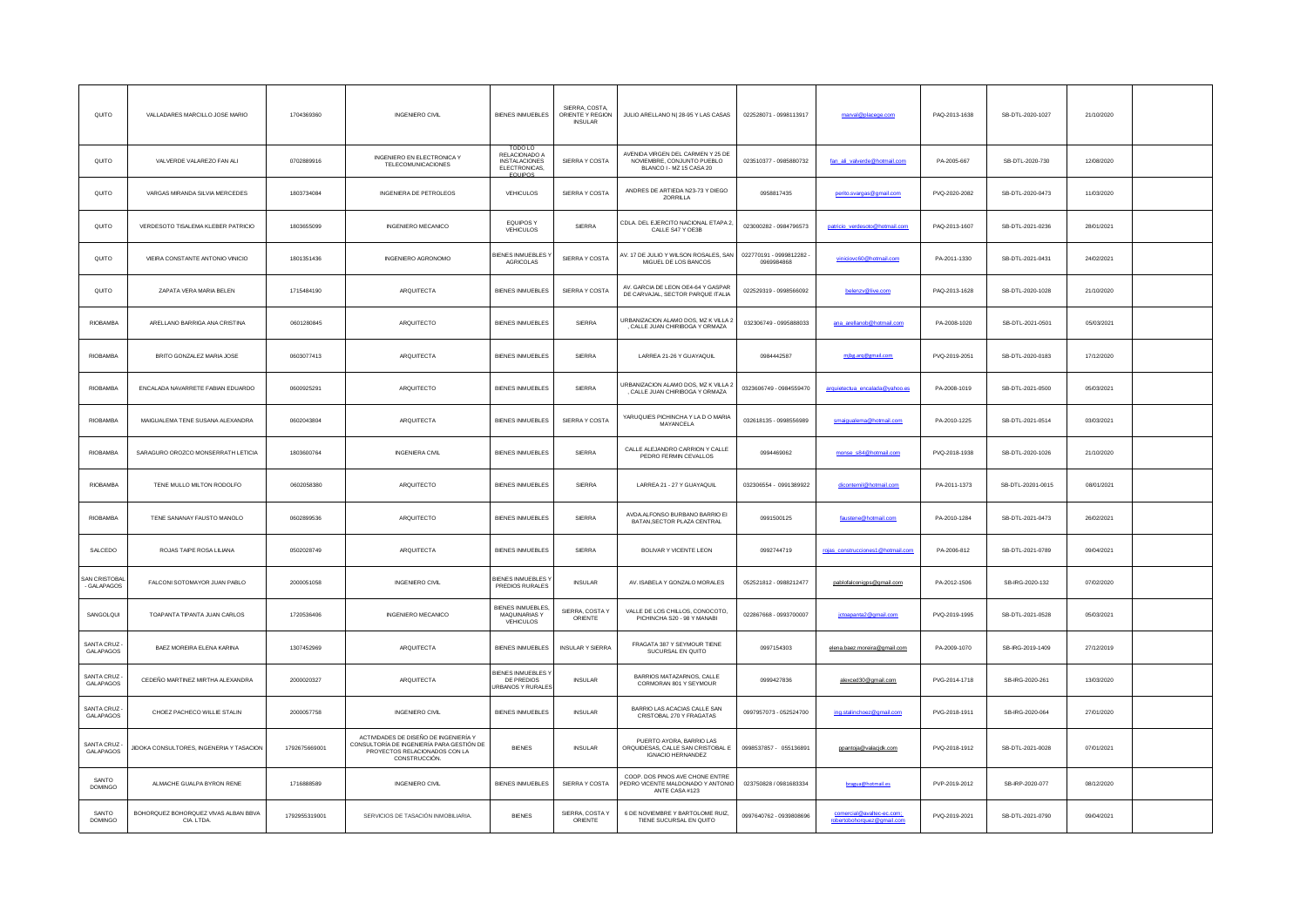| QUITO                              | VALLADARES MARCILLO JOSE MARIO                   | 1704369360    | <b>INGENIERO CIVIL</b>                                                                                                               | BIENES INMUEBLES                                                                   | SIERRA, COSTA,<br>ORIENTE Y REGION<br><b>INSULAR</b> | JULIO ARELLANO N  28-95 Y LAS CASAS                                                         | 022528071 - 0998113917               | marval@placege.com                                      | PAQ-2013-1638 | SB-DTL-2020-1027  | 21/10/2020 |  |
|------------------------------------|--------------------------------------------------|---------------|--------------------------------------------------------------------------------------------------------------------------------------|------------------------------------------------------------------------------------|------------------------------------------------------|---------------------------------------------------------------------------------------------|--------------------------------------|---------------------------------------------------------|---------------|-------------------|------------|--|
| QUITO                              | VALVERDE VALAREZO FAN ALI                        | 0702889916    | INGENIERO EN ELECTRONICA Y<br><b>TELECOMUNICACIONES</b>                                                                              | TODO LO<br>RELACIONADO A<br><b>INSTALACIONES</b><br>ELECTRONICAS,<br><b>FOUROS</b> | SIERRA Y COSTA                                       | AVENIDA VIRGEN DEL CARMEN Y 25 DE<br>NOVIEMBRE, CONJUNTO PUEBLO<br>BLANCO I - MZ 15 CASA 20 | 023510377 - 0985880732               | fan_ali_valverde@hotmail.com                            | PA-2005-667   | SB-DTL-2020-730   | 12/08/2020 |  |
| QUITO                              | VARGAS MIRANDA SILVIA MERCEDES                   | 1803734084    | <b>INGENIERA DE PETROLEOS</b>                                                                                                        | VEHICULOS                                                                          | SIERRA Y COSTA                                       | ANDRES DE ARTIEDA N23-73 Y DIEGO<br>ZORRILLA                                                | 0958817435                           | perito.svargas@gmail.com                                | PVQ-2020-2082 | SB-DTL-2020-0473  | 11/03/2020 |  |
| QUITO                              | VERDESOTO TISALEMA KLEBER PATRICIO               | 1803655099    | INGENIERO MECANICO                                                                                                                   | <b>EQUIPOS Y</b><br>VEHICULOS                                                      | <b>SIERRA</b>                                        | CDLA. DEL EJERCITO NACIONAL ETAPA 2<br>CALLE S47 Y OE3B                                     | 023000282 - 0984796573               | patricio verdesoto@hotmail.com                          | PAQ-2013-1607 | SB-DTL-2021-0236  | 28/01/2021 |  |
| QUITO                              | VIEIRA CONSTANTE ANTONIO VINICIO                 | 1801351436    | <b>INGENIERO AGRONOMO</b>                                                                                                            | BIENES INMUEBLES<br>AGRICOLAS                                                      | SIERRA Y COSTA                                       | AV. 17 DE JULIO Y WILSON ROSALES, SAN<br>MIGUEL DE LOS BANCOS                               | 022770191 - 0999812282<br>0969984868 | viniciovc60@hotmail.com                                 | PA-2011-1330  | SB-DTL-2021-0431  | 24/02/2021 |  |
| QUITO                              | ZAPATA VERA MARIA BELEN                          | 1715484190    | ARQUITECTA                                                                                                                           | <b>BIENES INMUEBLES</b>                                                            | SIERRA Y COSTA                                       | AV. GARCIA DE LEON OE4-64 Y GASPAR<br>DE CARVAJAL, SECTOR PARQUE ITALIA                     | 022529319 - 0998566092               | belenzy@live.com                                        | PAQ-2013-1628 | SB-DTL-2020-1028  | 21/10/2020 |  |
| RIOBAMBA                           | ARELLANO BARRIGA ANA CRISTINA                    | 0601280845    | ARQUITECTO                                                                                                                           | <b>BIENES INMUEBLES</b>                                                            | SIERRA                                               | JRBANIZACION ALAMO DOS, MZ K VILLA 2<br>, CALLE JUAN CHIRIBOGA Y ORMAZA                     | 032306749 - 0995888033               | ana arellanob@hotmail.com                               | PA-2008-1020  | SB-DTL-2021-0501  | 05/03/2021 |  |
| RIOBAMBA                           | BRITO GONZALEZ MARIA JOSE                        | 0603077413    | ARQUITECTA                                                                                                                           | <b>BIENES INMUEBLES</b>                                                            | SIERRA                                               | LARREA 21-26 Y GUAYAQUIL                                                                    | 0984442587                           | mibe.arg@email.com                                      | PVQ-2019-2051 | SB-DTL-2020-0183  | 17/12/2020 |  |
| RIOBAMBA                           | ENCALADA NAVARRETE FABIAN EDUARDO                | 0600925291    | ARQUITECTO                                                                                                                           | <b>BIENES INMUEBLES</b>                                                            | SIERRA                                               | JRBANIZACION ALAMO DOS, MZ K VILLA 2<br>, CALLE JUAN CHIRIBOGA Y ORMAZA                     | 0323606749 - 0984559470              | arquietectua_encalada@yahoo.es                          | PA-2008-1019  | SB-DTL-2021-0500  | 05/03/2021 |  |
| RIOBAMBA                           | MAIGUALEMA TENE SUSANA ALEXANDRA                 | 0602043804    | ARQUITECTA                                                                                                                           | BIENES INMUEBLES                                                                   | SIERRA Y COSTA                                       | YARUQUIES PICHINCHA Y LA D O MARIA<br>MAYANCELA                                             | 032618135 - 0998556989               | smaigualema@hotmail.com                                 | PA-2010-1225  | SB-DTL-2021-0514  | 03/03/2021 |  |
| RIOBAMBA                           | SARAGURO OROZCO MONSERRATH LETICIA               | 1803600764    | <b>INGENIERA CIVIL</b>                                                                                                               | <b>BIENES INMUEBLES</b>                                                            | SIERRA                                               | CALLE ALEJANDRO CARRION Y CALLE<br>PEDRO FERMIN CEVALLOS                                    | 0994469062                           | monse s84@hot                                           | PVQ-2018-1938 | SB-DTL-2020-1026  | 21/10/2020 |  |
| RIOBAMBA                           | TENE MULLO MILTON RODOLFO                        | 0602058380    | ARQUITECTO                                                                                                                           | <b>BIENES INMUEBLES</b>                                                            | SIERRA                                               | LARREA 21 - 27 Y GUAYAQUIL                                                                  | 032306554 - 0991389922               | dicontemil@hotmail.com                                  | PA-2011-1373  | SB-DTL-20201-0015 | 08/01/2021 |  |
| RIOBAMBA                           | TENE SANANAY FAUSTO MANOLO                       | 0602899536    | ARQUITECTO                                                                                                                           | <b>BIENES INMUEBLES</b>                                                            | SIERRA                                               | AVDA.ALFONSO BURBANO BARRIO EI<br>BATAN, SECTOR PLAZA CENTRAL                               | 0991500125                           | faustene@hotmail.com                                    | PA-2010-1284  | SB-DTL-2021-0473  | 26/02/2021 |  |
| SALCEDO                            | ROJAS TAIPE ROSA LILIANA                         | 0502028749    | ARQUITECTA                                                                                                                           | BIENES INMUEBLES                                                                   | SIERRA                                               | BOLIVAR Y VICENTE LEON                                                                      | 0992744719                           | rojas_construcciones1@hotmail.com                       | PA-2006-812   | SB-DTL-2021-0789  | 09/04/2021 |  |
| <b>SAN CRISTOBA</b><br>- GALAPAGOS | FALCONI SOTOMAYOR JUAN PABLO                     | 2000051058    | <b>INGENIERO CIVIL</b>                                                                                                               | <b>BIENES INMUEBLES</b><br>PREDIOS RURALES                                         | <b>INSULAR</b>                                       | AV. ISABELA Y GONZALO MORALES                                                               | 052521812 - 0988212477               | pablofalconigps@gmail.com                               | PA-2012-1506  | SB-IRG-2020-132   | 07/02/2020 |  |
| SANGOLOUI                          | TOAPANTA TIPANTA JUAN CARLOS                     | 1720536406    | <b>INGENIERO MECANICO</b>                                                                                                            | BIENES INMUEBLES,<br>MAQUINARIAS Y<br>VEHICULOS                                    | SIERRA, COSTA Y<br>ORIENTE                           | VALLE DE LOS CHILLOS, CONOCOTO,<br>PICHINCHA S20 - 98 Y MANABI                              | 022867668 - 0993700007               | jctoapanta2@gmail.com                                   | PVQ-2019-1995 | SB-DTL-2021-0528  | 05/03/2021 |  |
| SANTA CRUZ<br>GALAPAGOS            | <b>BAEZ MOREIRA ELENA KARINA</b>                 | 1307452969    | ARQUITECTA                                                                                                                           | <b>BIENES INMUEBLES</b>                                                            | INSULAR Y SIERRA                                     | FRAGATA 387 Y SEYMOUR TIENE<br>SUCURSAL EN QUITO                                            | 0997154303                           | elena.baez.moreira@gmail.com                            | PA-2009-1070  | SB-IRG-2019-1409  | 27/12/2019 |  |
| SANTA CRUZ<br>GALAPAGOS            | CEDEÑO MARTINEZ MIRTHA ALEXANDRA                 | 2000020327    | ARQUITECTA                                                                                                                           | <b>BIENES INMUEBLES</b><br>DE PREDIOS<br><b>URBANOS Y RURALES</b>                  | <b>INSULAR</b>                                       | BARRIOS MATAZARNOS, CALLE<br>CORMORAN 801 Y SEYMOUR                                         | 0999427836                           | alexced30@gmail.com                                     | PVG-2014-1718 | SB-IRG-2020-261   | 13/03/2020 |  |
| SANTA CRUZ<br>GALAPAGOS            | CHOEZ PACHECO WILLIE STALIN                      | 2000057758    | <b>INGENIERO CIVIL</b>                                                                                                               | <b>BIENES INMUEBLES</b>                                                            | <b>INSULAR</b>                                       | BARRIO LAS ACACIAS CALLE SAN<br>CRISTOBAL 270 Y FRAGATAS                                    | 0997957073 - 052524700               | ing.stalinchoez@gmail.com                               | PVG-2018-1911 | SB-IRG-2020-064   | 27/01/2020 |  |
| SANTA CRUZ<br>GALAPAGOS            | JIDOKA CONSULTORES, INGENERIA Y TASACION         | 1792675669001 | ACTIVIDADES DE DISEÑO DE INGENIERÍA Y<br>CONSULTORÍA DE INGENIERÍA PARA GESTIÓN DE<br>PROYECTOS RELACIONADOS CON LA<br>CONSTRUCCIÓN. | <b>BIENES</b>                                                                      | <b>INSULAR</b>                                       | PUERTO AYORA, BARRIO LAS<br>ORQUIDESAS, CALLE SAN CRISTOBAL E<br>IGNACIO HERNANDEZ          | 0998537857 - 055136891               | ppantoja@valacjdk.com                                   | PVQ-2018-1912 | SB-DTL-2021-0028  | 07/01/2021 |  |
| <b>SANTO</b><br><b>DOMINGO</b>     | ALMACHE GUALPA BYRON RENE                        | 1716888589    | INGENIERO CIVIL                                                                                                                      | <b>BIENES INMUEBLES</b>                                                            | SIERRA Y COSTA                                       | COOP. DOS PINOS AVE CHONE ENTRE<br>PEDRO VICENTE MALDONADO Y ANTONIO<br>ANTE CASA #123      | 023750828 / 0981683334               | bragua@hotmail.es                                       | PVP-2019-2012 | SB-IRP-2020-077   | 08/12/2020 |  |
| <b>SANTO</b><br><b>DOMINGO</b>     | BOHORQUEZ BOHORQUEZ VIVAS ALBAN BBVA<br>CIA LTDA | 1792955319001 | SERVICIOS DE TASACIÓN INMOBILIARIA                                                                                                   | <b>BIENES</b>                                                                      | SIERRA, COSTA Y<br>ORIENTE                           | 6 DE NOVIEMBRE Y BARTOLOME RUIZ,<br>TIENE SUCURSAL EN QUITO                                 | 0997640762 - 0939808696              | comercial@avaltec-ec.com:<br>robertobohorquez@gmail.com | PVQ-2019-2021 | SB-DTL-2021-0790  | 09/04/2021 |  |